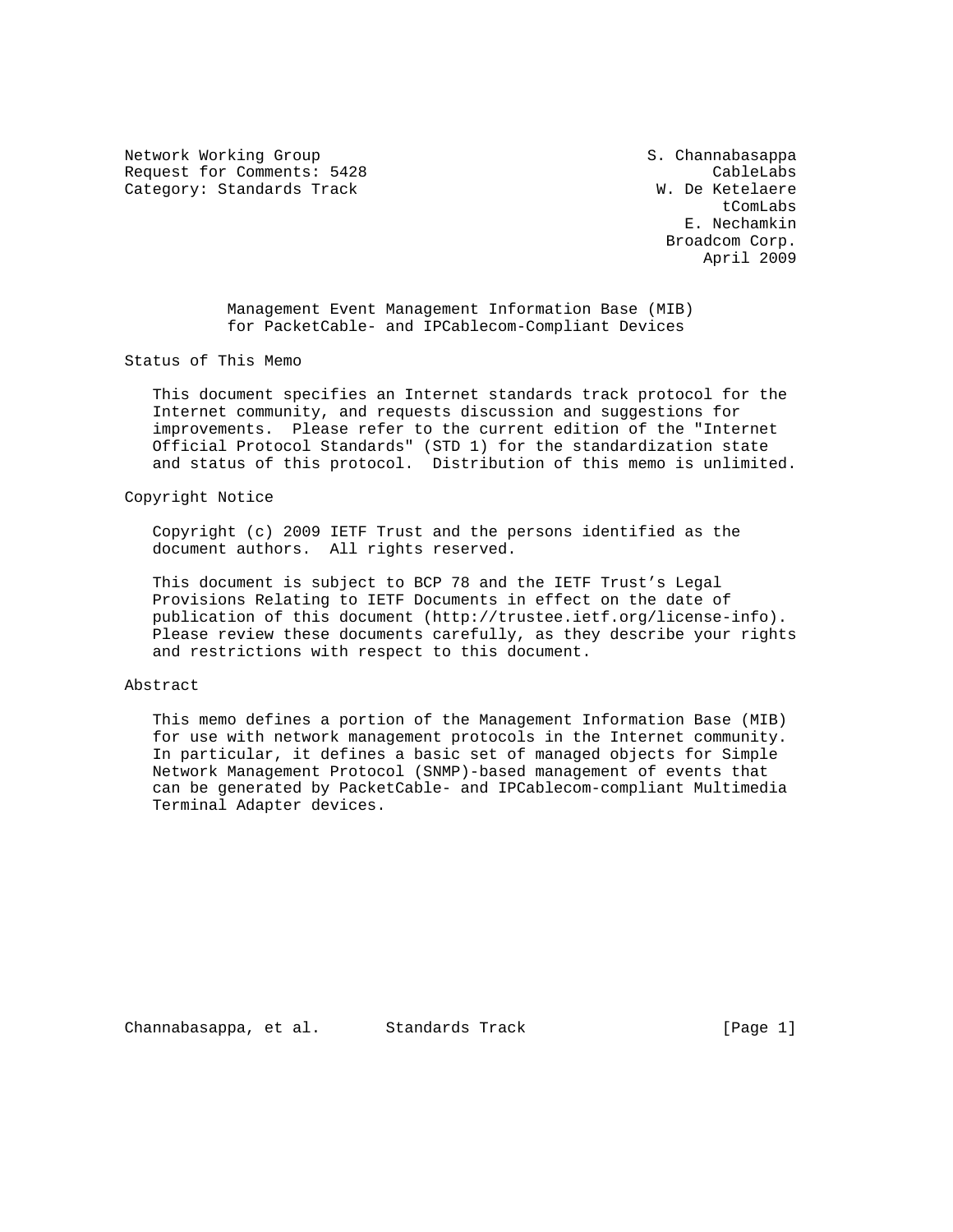Network Working Group S. Channabasappa Request for Comments: 5428 CableLabs Category: Standards Track W. De Ketelaere

t ComLabs and the comunity of the comunity of the comunity of the comunity of the comunity of the comunity of the comunity of the comunity of the comunity of the comunity of the comunity of the comunity of the comunity of E. Nechamkin Broadcom Corp. April 2009

> Management Event Management Information Base (MIB) for PacketCable- and IPCablecom-Compliant Devices

Status of This Memo

 This document specifies an Internet standards track protocol for the Internet community, and requests discussion and suggestions for improvements. Please refer to the current edition of the "Internet Official Protocol Standards" (STD 1) for the standardization state and status of this protocol. Distribution of this memo is unlimited.

Copyright Notice

 Copyright (c) 2009 IETF Trust and the persons identified as the document authors. All rights reserved.

 This document is subject to BCP 78 and the IETF Trust's Legal Provisions Relating to IETF Documents in effect on the date of publication of this document (http://trustee.ietf.org/license-info). Please review these documents carefully, as they describe your rights and restrictions with respect to this document.

### Abstract

 This memo defines a portion of the Management Information Base (MIB) for use with network management protocols in the Internet community. In particular, it defines a basic set of managed objects for Simple Network Management Protocol (SNMP)-based management of events that can be generated by PacketCable- and IPCablecom-compliant Multimedia Terminal Adapter devices.

Channabasappa, et al. Standards Track (Page 1)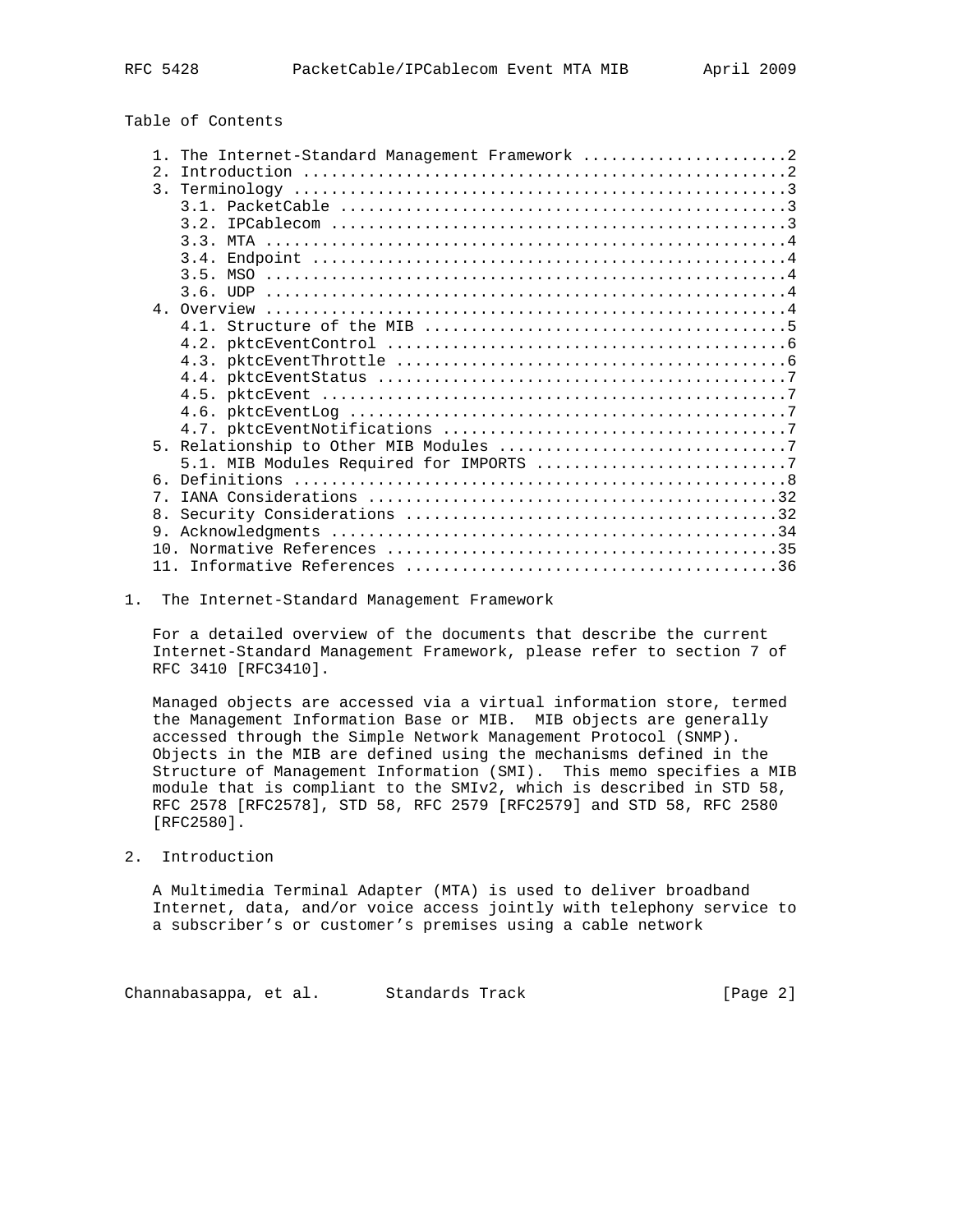Table of Contents

|                | The Internet-Standard Management Framework 2 |
|----------------|----------------------------------------------|
| 2.             |                                              |
| $\mathcal{E}$  |                                              |
|                |                                              |
|                | 3.2.                                         |
|                |                                              |
|                |                                              |
|                |                                              |
|                |                                              |
|                |                                              |
|                |                                              |
|                |                                              |
|                |                                              |
|                |                                              |
|                |                                              |
|                |                                              |
|                |                                              |
|                |                                              |
|                |                                              |
|                |                                              |
| 6              |                                              |
| $7^{\circ}$    |                                              |
| 8 <sub>1</sub> |                                              |
| 9.             |                                              |
| $10^{-1}$      |                                              |
| 11             |                                              |

### 1. The Internet-Standard Management Framework

 For a detailed overview of the documents that describe the current Internet-Standard Management Framework, please refer to section 7 of RFC 3410 [RFC3410].

 Managed objects are accessed via a virtual information store, termed the Management Information Base or MIB. MIB objects are generally accessed through the Simple Network Management Protocol (SNMP). Objects in the MIB are defined using the mechanisms defined in the Structure of Management Information (SMI). This memo specifies a MIB module that is compliant to the SMIv2, which is described in STD 58, RFC 2578 [RFC2578], STD 58, RFC 2579 [RFC2579] and STD 58, RFC 2580 [RFC2580].

2. Introduction

 A Multimedia Terminal Adapter (MTA) is used to deliver broadband Internet, data, and/or voice access jointly with telephony service to a subscriber's or customer's premises using a cable network

Channabasappa, et al. Standards Track (Page 2)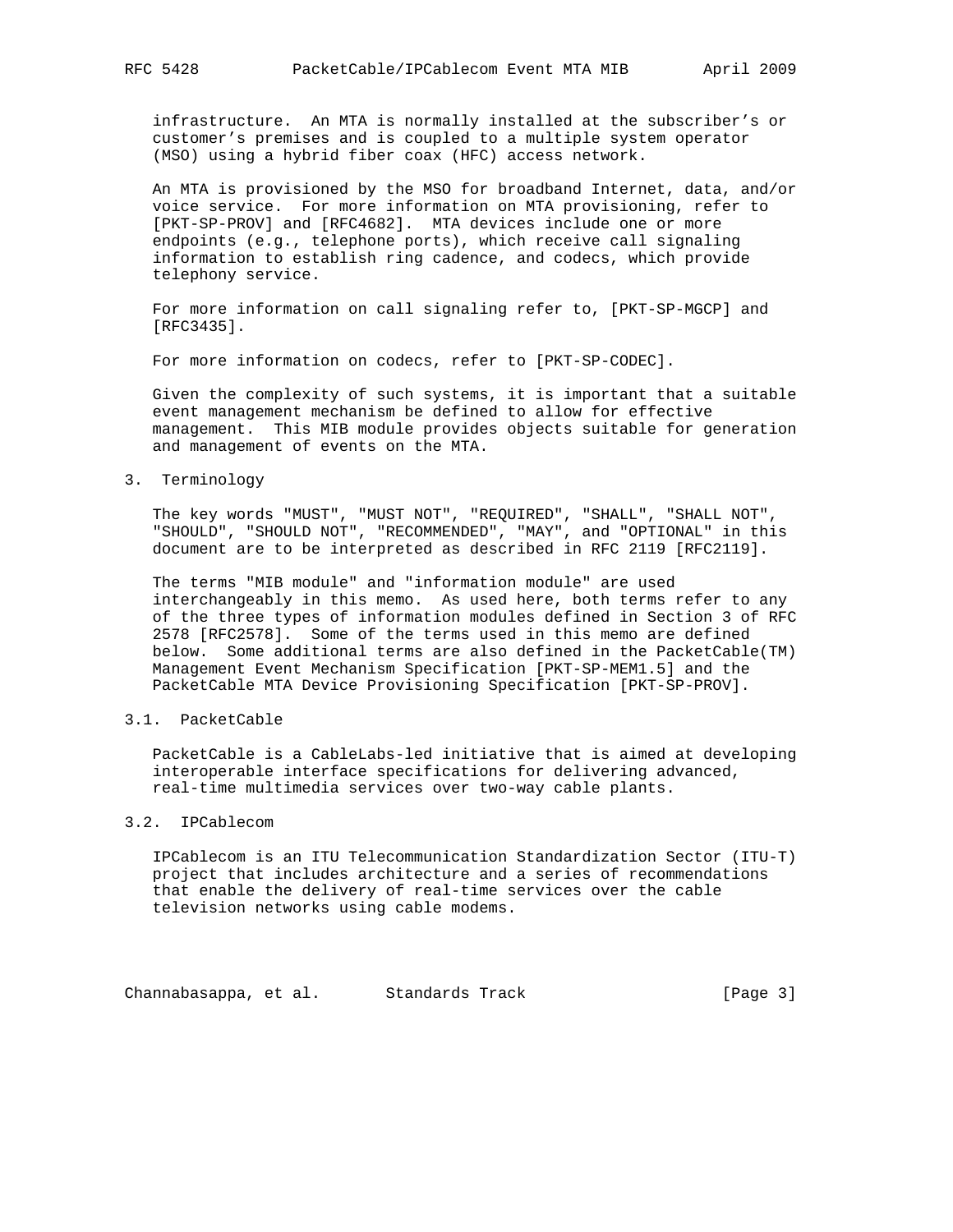infrastructure. An MTA is normally installed at the subscriber's or customer's premises and is coupled to a multiple system operator (MSO) using a hybrid fiber coax (HFC) access network.

 An MTA is provisioned by the MSO for broadband Internet, data, and/or voice service. For more information on MTA provisioning, refer to [PKT-SP-PROV] and [RFC4682]. MTA devices include one or more endpoints (e.g., telephone ports), which receive call signaling information to establish ring cadence, and codecs, which provide telephony service.

 For more information on call signaling refer to, [PKT-SP-MGCP] and [RFC3435].

For more information on codecs, refer to [PKT-SP-CODEC].

 Given the complexity of such systems, it is important that a suitable event management mechanism be defined to allow for effective management. This MIB module provides objects suitable for generation and management of events on the MTA.

3. Terminology

 The key words "MUST", "MUST NOT", "REQUIRED", "SHALL", "SHALL NOT", "SHOULD", "SHOULD NOT", "RECOMMENDED", "MAY", and "OPTIONAL" in this document are to be interpreted as described in RFC 2119 [RFC2119].

 The terms "MIB module" and "information module" are used interchangeably in this memo. As used here, both terms refer to any of the three types of information modules defined in Section 3 of RFC 2578 [RFC2578]. Some of the terms used in this memo are defined below. Some additional terms are also defined in the PacketCable(TM) Management Event Mechanism Specification [PKT-SP-MEM1.5] and the PacketCable MTA Device Provisioning Specification [PKT-SP-PROV].

### 3.1. PacketCable

 PacketCable is a CableLabs-led initiative that is aimed at developing interoperable interface specifications for delivering advanced, real-time multimedia services over two-way cable plants.

# 3.2. IPCablecom

 IPCablecom is an ITU Telecommunication Standardization Sector (ITU-T) project that includes architecture and a series of recommendations that enable the delivery of real-time services over the cable television networks using cable modems.

Channabasappa, et al. Standards Track (Page 3)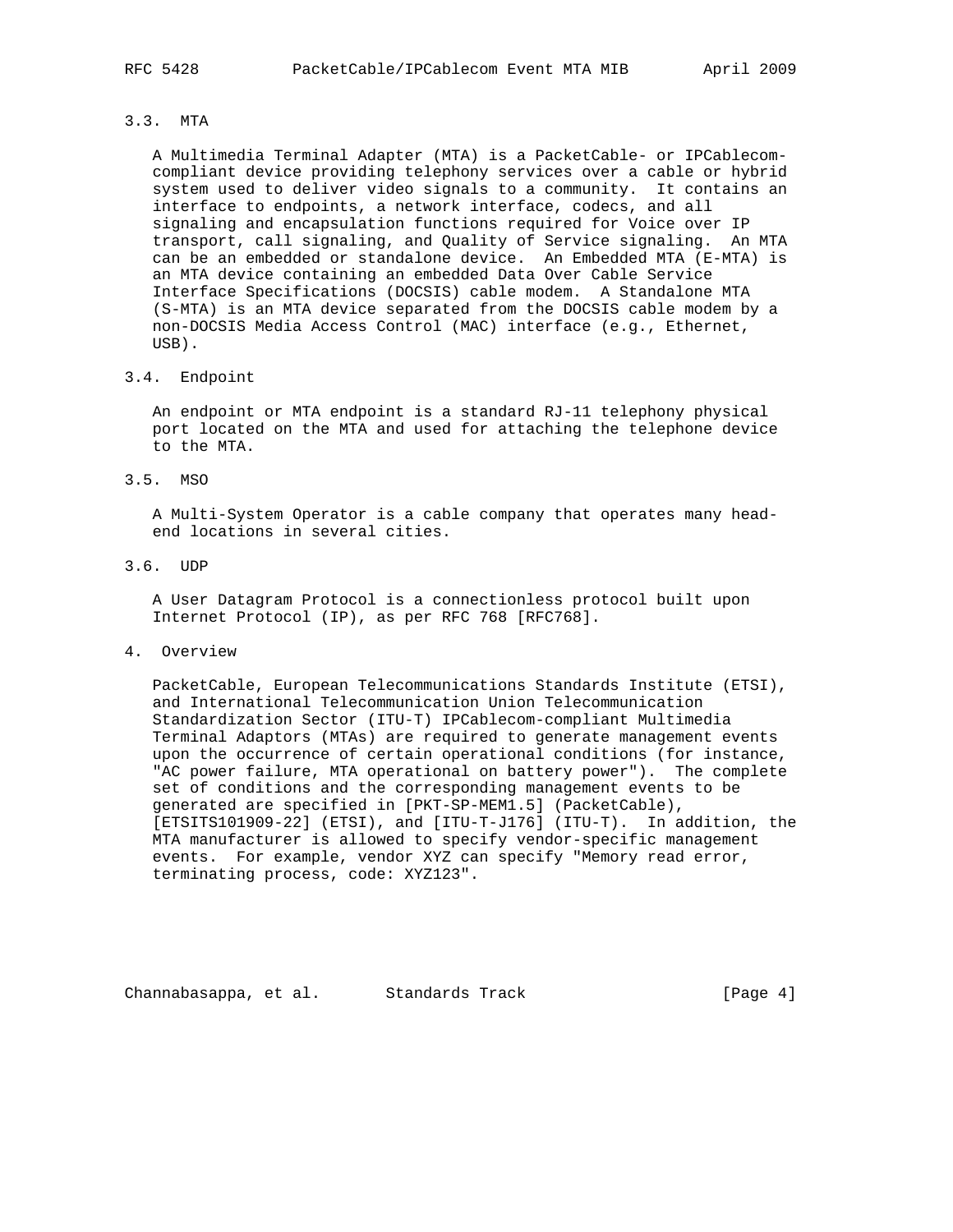# 3.3. MTA

 A Multimedia Terminal Adapter (MTA) is a PacketCable- or IPCablecom compliant device providing telephony services over a cable or hybrid system used to deliver video signals to a community. It contains an interface to endpoints, a network interface, codecs, and all signaling and encapsulation functions required for Voice over IP transport, call signaling, and Quality of Service signaling. An MTA can be an embedded or standalone device. An Embedded MTA (E-MTA) is an MTA device containing an embedded Data Over Cable Service Interface Specifications (DOCSIS) cable modem. A Standalone MTA (S-MTA) is an MTA device separated from the DOCSIS cable modem by a non-DOCSIS Media Access Control (MAC) interface (e.g., Ethernet, USB).

### 3.4. Endpoint

 An endpoint or MTA endpoint is a standard RJ-11 telephony physical port located on the MTA and used for attaching the telephone device to the MTA.

#### 3.5. MSO

 A Multi-System Operator is a cable company that operates many head end locations in several cities.

# 3.6. UDP

 A User Datagram Protocol is a connectionless protocol built upon Internet Protocol (IP), as per RFC 768 [RFC768].

#### 4. Overview

 PacketCable, European Telecommunications Standards Institute (ETSI), and International Telecommunication Union Telecommunication Standardization Sector (ITU-T) IPCablecom-compliant Multimedia Terminal Adaptors (MTAs) are required to generate management events upon the occurrence of certain operational conditions (for instance, "AC power failure, MTA operational on battery power"). The complete set of conditions and the corresponding management events to be generated are specified in [PKT-SP-MEM1.5] (PacketCable), [ETSITS101909-22] (ETSI), and [ITU-T-J176] (ITU-T). In addition, the MTA manufacturer is allowed to specify vendor-specific management events. For example, vendor XYZ can specify "Memory read error, terminating process, code: XYZ123".

Channabasappa, et al. Standards Track (Page 4)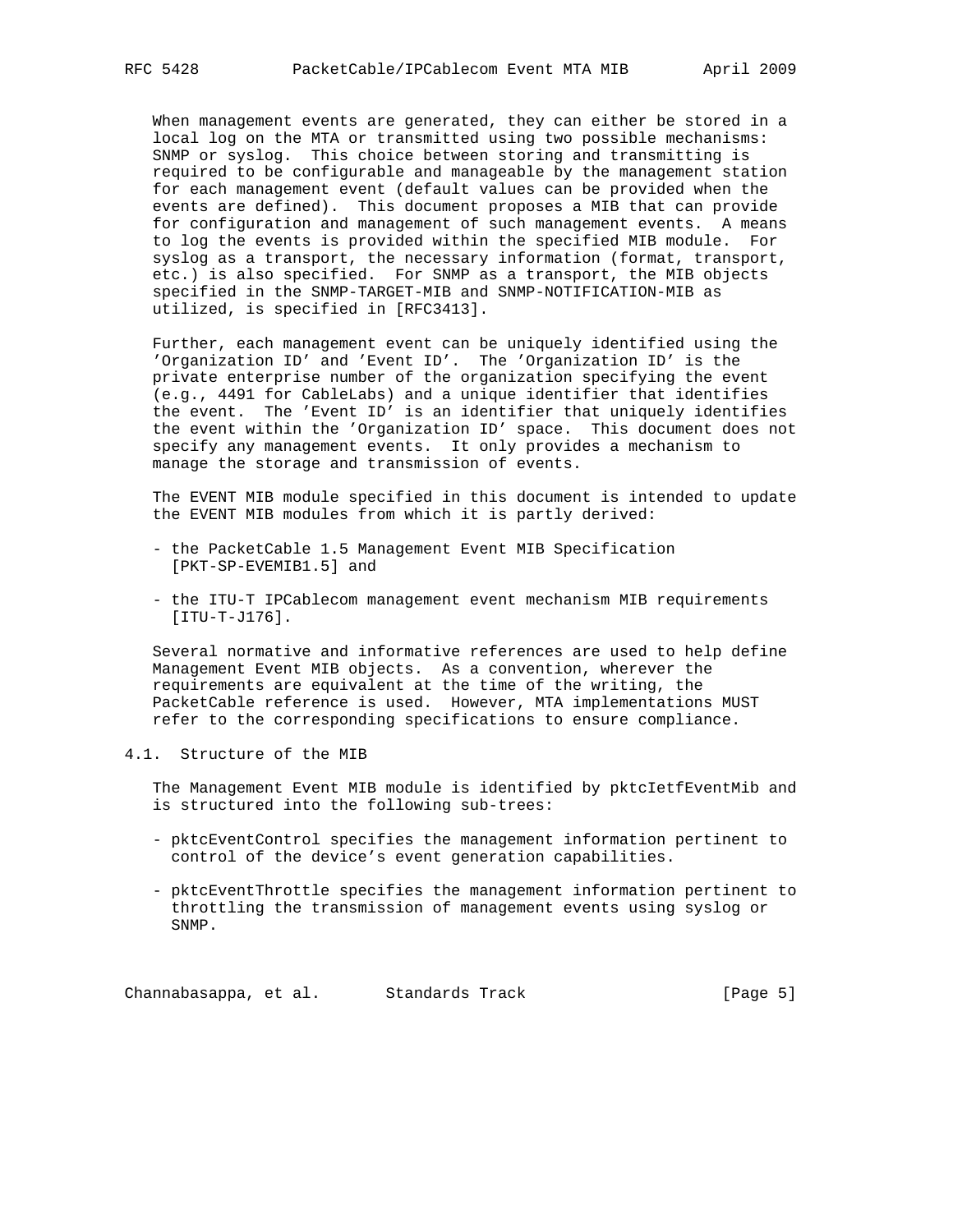When management events are generated, they can either be stored in a local log on the MTA or transmitted using two possible mechanisms: SNMP or syslog. This choice between storing and transmitting is required to be configurable and manageable by the management station for each management event (default values can be provided when the events are defined). This document proposes a MIB that can provide for configuration and management of such management events. A means to log the events is provided within the specified MIB module. For syslog as a transport, the necessary information (format, transport, etc.) is also specified. For SNMP as a transport, the MIB objects specified in the SNMP-TARGET-MIB and SNMP-NOTIFICATION-MIB as utilized, is specified in [RFC3413].

 Further, each management event can be uniquely identified using the 'Organization ID' and 'Event ID'. The 'Organization ID' is the private enterprise number of the organization specifying the event (e.g., 4491 for CableLabs) and a unique identifier that identifies the event. The 'Event ID' is an identifier that uniquely identifies the event within the 'Organization ID' space. This document does not specify any management events. It only provides a mechanism to manage the storage and transmission of events.

 The EVENT MIB module specified in this document is intended to update the EVENT MIB modules from which it is partly derived:

- the PacketCable 1.5 Management Event MIB Specification [PKT-SP-EVEMIB1.5] and
- the ITU-T IPCablecom management event mechanism MIB requirements [ITU-T-J176].

 Several normative and informative references are used to help define Management Event MIB objects. As a convention, wherever the requirements are equivalent at the time of the writing, the PacketCable reference is used. However, MTA implementations MUST refer to the corresponding specifications to ensure compliance.

### 4.1. Structure of the MIB

 The Management Event MIB module is identified by pktcIetfEventMib and is structured into the following sub-trees:

- pktcEventControl specifies the management information pertinent to control of the device's event generation capabilities.
- pktcEventThrottle specifies the management information pertinent to throttling the transmission of management events using syslog or SNMP.

Channabasappa, et al. Standards Track (Page 5)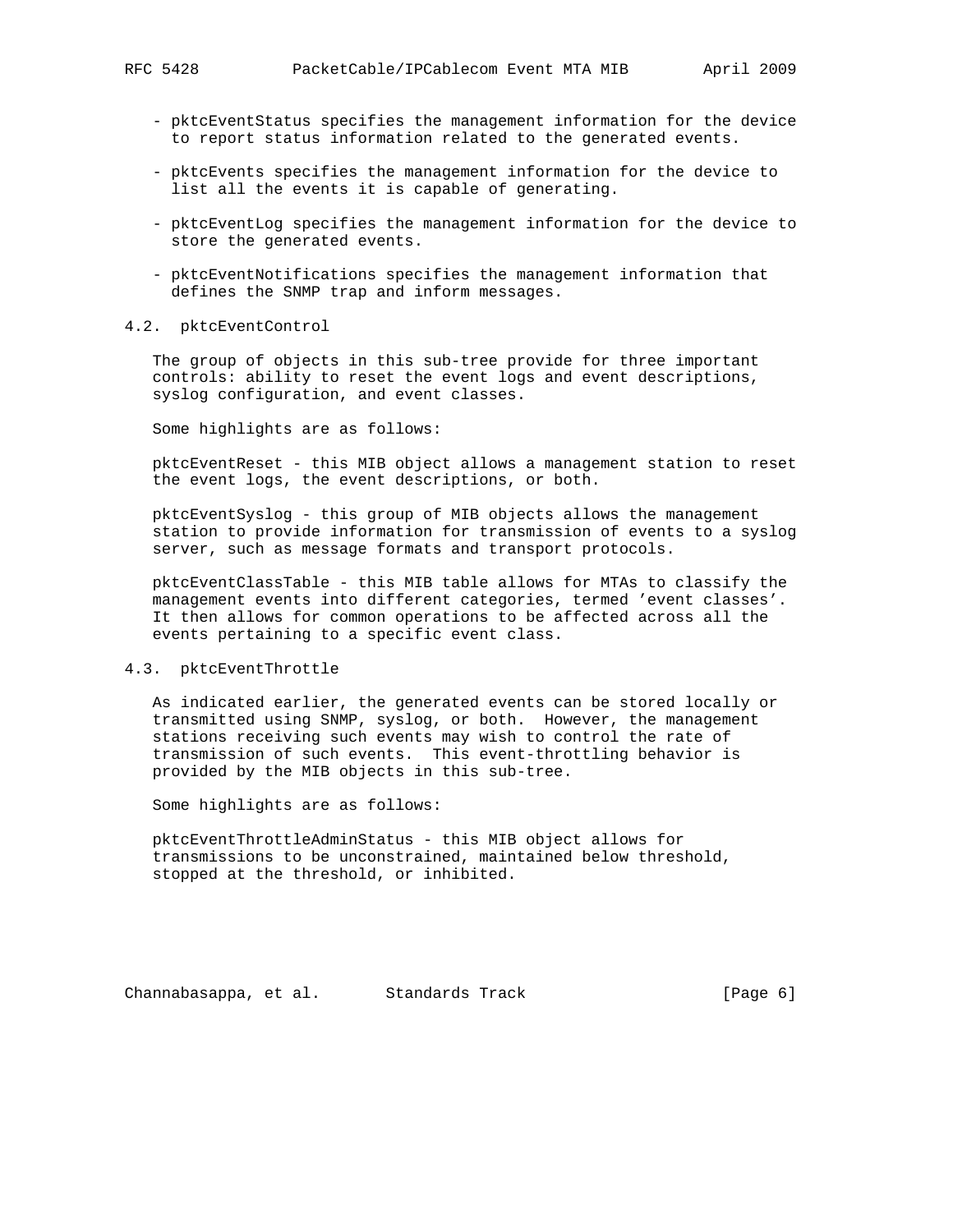- pktcEventStatus specifies the management information for the device to report status information related to the generated events.
- pktcEvents specifies the management information for the device to list all the events it is capable of generating.
- pktcEventLog specifies the management information for the device to store the generated events.
- pktcEventNotifications specifies the management information that defines the SNMP trap and inform messages.
- 4.2. pktcEventControl

 The group of objects in this sub-tree provide for three important controls: ability to reset the event logs and event descriptions, syslog configuration, and event classes.

Some highlights are as follows:

 pktcEventReset - this MIB object allows a management station to reset the event logs, the event descriptions, or both.

 pktcEventSyslog - this group of MIB objects allows the management station to provide information for transmission of events to a syslog server, such as message formats and transport protocols.

 pktcEventClassTable - this MIB table allows for MTAs to classify the management events into different categories, termed 'event classes'. It then allows for common operations to be affected across all the events pertaining to a specific event class.

### 4.3. pktcEventThrottle

 As indicated earlier, the generated events can be stored locally or transmitted using SNMP, syslog, or both. However, the management stations receiving such events may wish to control the rate of transmission of such events. This event-throttling behavior is provided by the MIB objects in this sub-tree.

Some highlights are as follows:

 pktcEventThrottleAdminStatus - this MIB object allows for transmissions to be unconstrained, maintained below threshold, stopped at the threshold, or inhibited.

Channabasappa, et al. Standards Track (Page 6)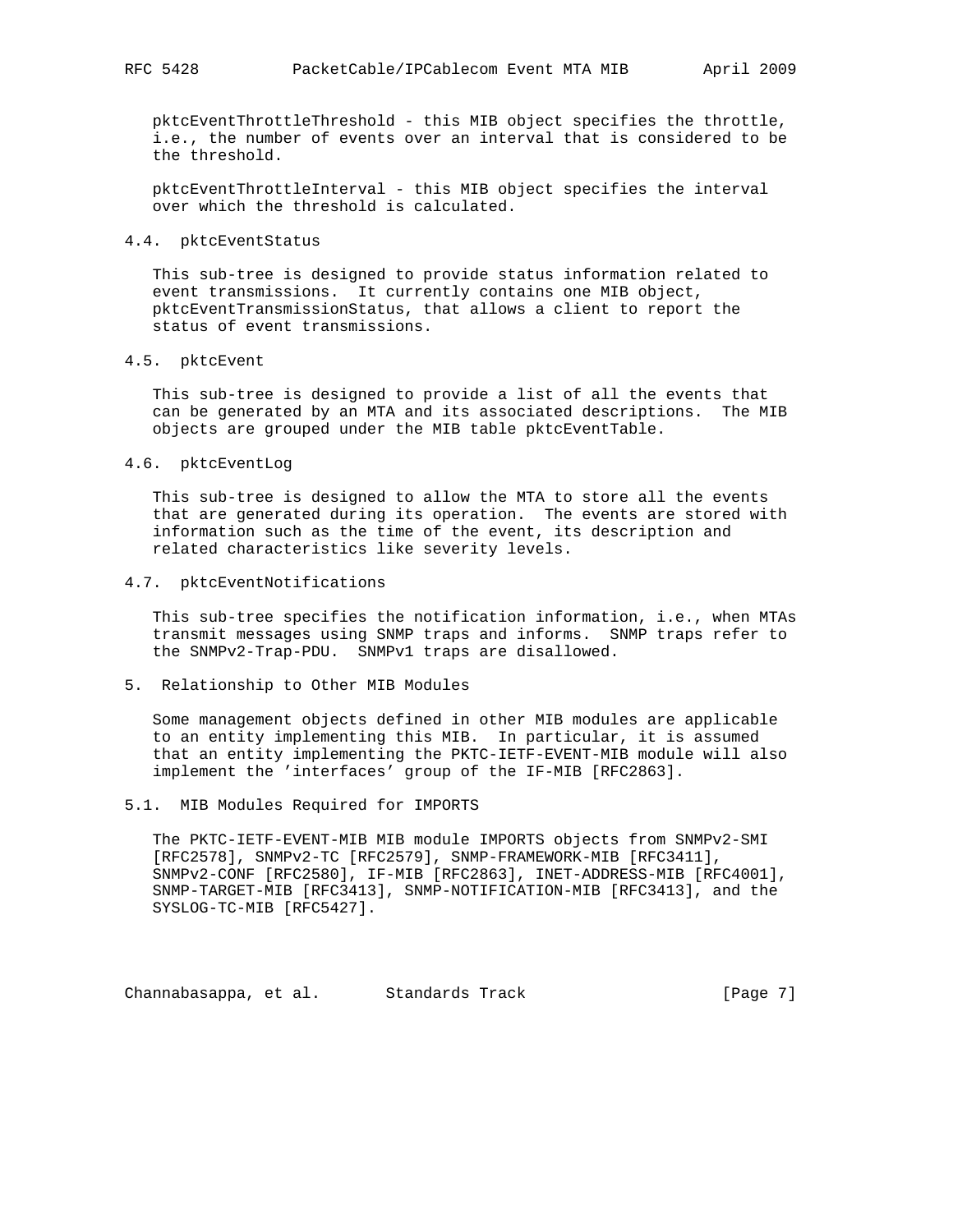pktcEventThrottleThreshold - this MIB object specifies the throttle, i.e., the number of events over an interval that is considered to be the threshold.

 pktcEventThrottleInterval - this MIB object specifies the interval over which the threshold is calculated.

#### 4.4. pktcEventStatus

 This sub-tree is designed to provide status information related to event transmissions. It currently contains one MIB object, pktcEventTransmissionStatus, that allows a client to report the status of event transmissions.

### 4.5. pktcEvent

 This sub-tree is designed to provide a list of all the events that can be generated by an MTA and its associated descriptions. The MIB objects are grouped under the MIB table pktcEventTable.

#### 4.6. pktcEventLog

 This sub-tree is designed to allow the MTA to store all the events that are generated during its operation. The events are stored with information such as the time of the event, its description and related characteristics like severity levels.

### 4.7. pktcEventNotifications

 This sub-tree specifies the notification information, i.e., when MTAs transmit messages using SNMP traps and informs. SNMP traps refer to the SNMPv2-Trap-PDU. SNMPv1 traps are disallowed.

### 5. Relationship to Other MIB Modules

 Some management objects defined in other MIB modules are applicable to an entity implementing this MIB. In particular, it is assumed that an entity implementing the PKTC-IETF-EVENT-MIB module will also implement the 'interfaces' group of the IF-MIB [RFC2863].

### 5.1. MIB Modules Required for IMPORTS

 The PKTC-IETF-EVENT-MIB MIB module IMPORTS objects from SNMPv2-SMI [RFC2578], SNMPv2-TC [RFC2579], SNMP-FRAMEWORK-MIB [RFC3411], SNMPv2-CONF [RFC2580], IF-MIB [RFC2863], INET-ADDRESS-MIB [RFC4001], SNMP-TARGET-MIB [RFC3413], SNMP-NOTIFICATION-MIB [RFC3413], and the SYSLOG-TC-MIB [RFC5427].

Channabasappa, et al. Standards Track (Page 7)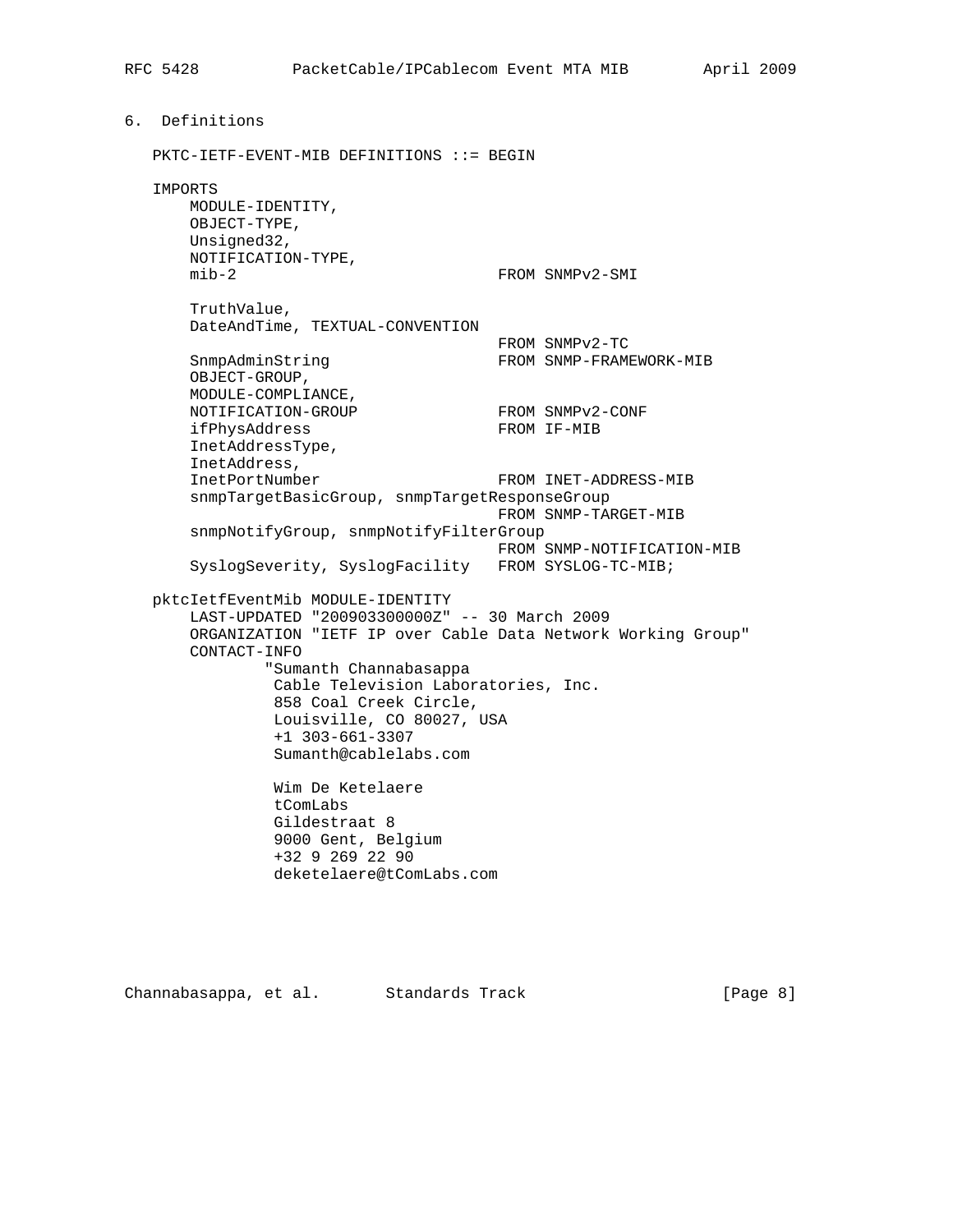6. Definitions PKTC-IETF-EVENT-MIB DEFINITIONS ::= BEGIN IMPORTS MODULE-IDENTITY, OBJECT-TYPE, Unsigned32, NOTIFICATION-TYPE, mib-2 FROM SNMPv2-SMI TruthValue, DateAndTime, TEXTUAL-CONVENTION FROM SNMPv2-TC<br>FROM SNMP-FRAM FROM SNMP-FRAMEWORK-MIB OBJECT-GROUP, MODULE-COMPLIANCE, NOTIFICATION-GROUP FROM SNMPv2-CONF ifPhysAddress FROM IF-MIB InetAddressType, InetAddress, InetPortNumber FROM INET-ADDRESS-MIB snmpTargetBasicGroup, snmpTargetResponseGroup FROM SNMP-TARGET-MIB snmpNotifyGroup, snmpNotifyFilterGroup FROM SNMP-NOTIFICATION-MIB SyslogSeverity, SyslogFacility FROM SYSLOG-TC-MIB; pktcIetfEventMib MODULE-IDENTITY LAST-UPDATED "200903300000Z" -- 30 March 2009 ORGANIZATION "IETF IP over Cable Data Network Working Group" CONTACT-INFO "Sumanth Channabasappa Cable Television Laboratories, Inc. 858 Coal Creek Circle, Louisville, CO 80027, USA +1 303-661-3307 Sumanth@cablelabs.com Wim De Ketelaere tComLabs Gildestraat 8 9000 Gent, Belgium +32 9 269 22 90 deketelaere@tComLabs.com

Channabasappa, et al. Standards Track (Page 8)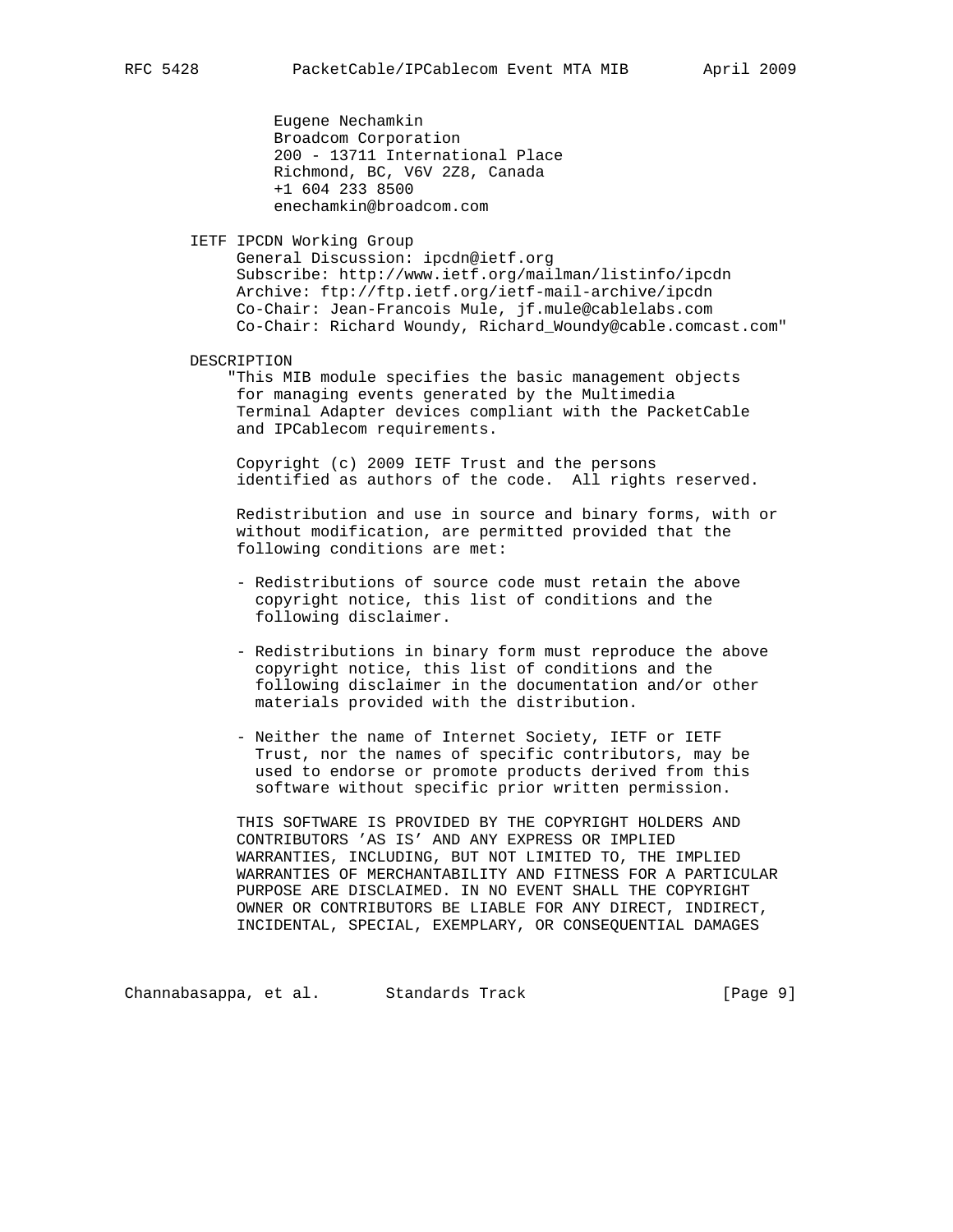Eugene Nechamkin Broadcom Corporation 200 - 13711 International Place Richmond, BC, V6V 2Z8, Canada +1 604 233 8500 enechamkin@broadcom.com

IETF IPCDN Working Group

 General Discussion: ipcdn@ietf.org Subscribe: http://www.ietf.org/mailman/listinfo/ipcdn Archive: ftp://ftp.ietf.org/ietf-mail-archive/ipcdn Co-Chair: Jean-Francois Mule, jf.mule@cablelabs.com Co-Chair: Richard Woundy, Richard\_Woundy@cable.comcast.com"

DESCRIPTION

 "This MIB module specifies the basic management objects for managing events generated by the Multimedia Terminal Adapter devices compliant with the PacketCable and IPCablecom requirements.

 Copyright (c) 2009 IETF Trust and the persons identified as authors of the code. All rights reserved.

 Redistribution and use in source and binary forms, with or without modification, are permitted provided that the following conditions are met:

- Redistributions of source code must retain the above copyright notice, this list of conditions and the following disclaimer.
- Redistributions in binary form must reproduce the above copyright notice, this list of conditions and the following disclaimer in the documentation and/or other materials provided with the distribution.
- Neither the name of Internet Society, IETF or IETF Trust, nor the names of specific contributors, may be used to endorse or promote products derived from this software without specific prior written permission.

 THIS SOFTWARE IS PROVIDED BY THE COPYRIGHT HOLDERS AND CONTRIBUTORS 'AS IS' AND ANY EXPRESS OR IMPLIED WARRANTIES, INCLUDING, BUT NOT LIMITED TO, THE IMPLIED WARRANTIES OF MERCHANTABILITY AND FITNESS FOR A PARTICULAR PURPOSE ARE DISCLAIMED. IN NO EVENT SHALL THE COPYRIGHT OWNER OR CONTRIBUTORS BE LIABLE FOR ANY DIRECT, INDIRECT, INCIDENTAL, SPECIAL, EXEMPLARY, OR CONSEQUENTIAL DAMAGES

Channabasappa, et al. Standards Track (Page 9)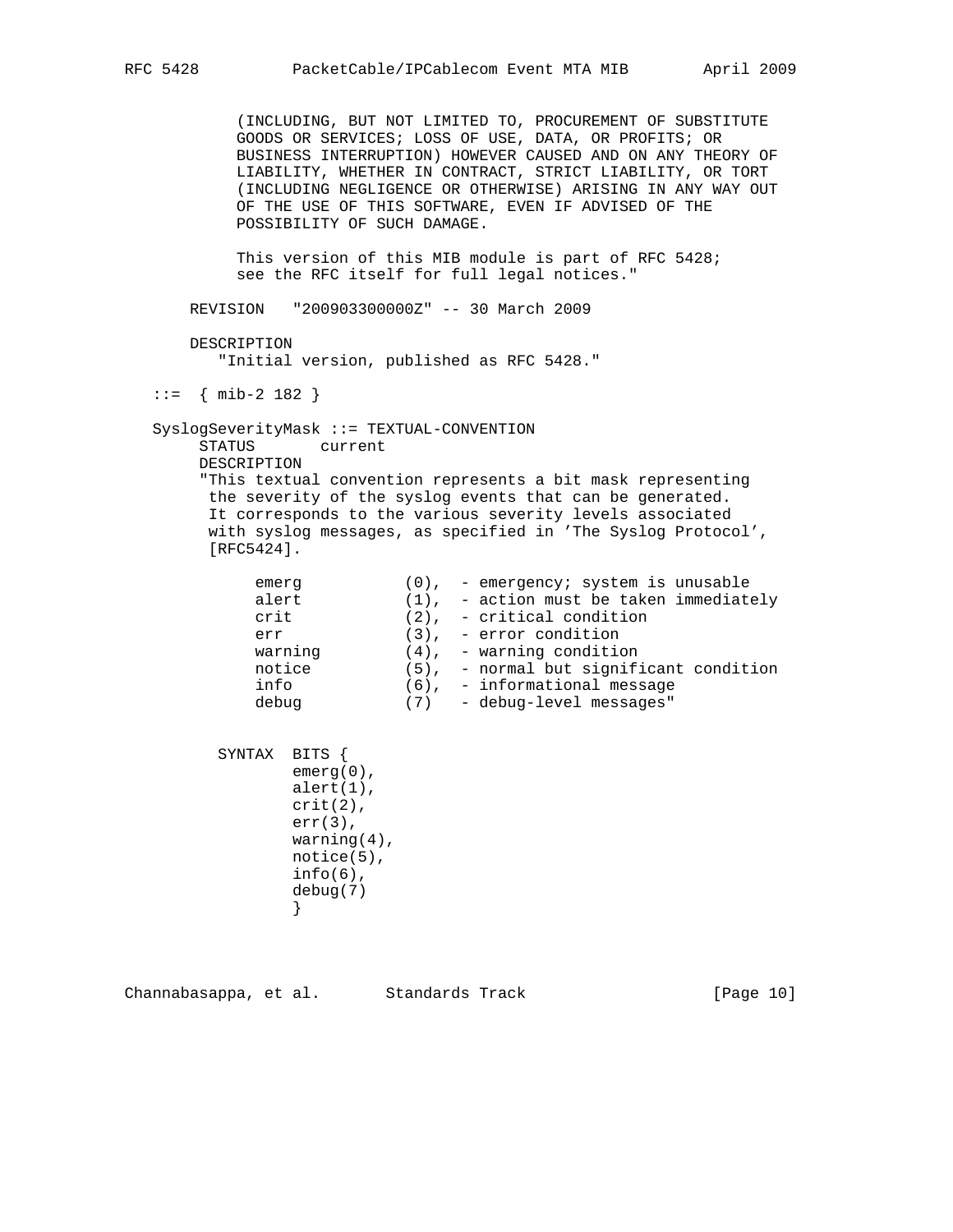(INCLUDING, BUT NOT LIMITED TO, PROCUREMENT OF SUBSTITUTE GOODS OR SERVICES; LOSS OF USE, DATA, OR PROFITS; OR BUSINESS INTERRUPTION) HOWEVER CAUSED AND ON ANY THEORY OF LIABILITY, WHETHER IN CONTRACT, STRICT LIABILITY, OR TORT (INCLUDING NEGLIGENCE OR OTHERWISE) ARISING IN ANY WAY OUT OF THE USE OF THIS SOFTWARE, EVEN IF ADVISED OF THE POSSIBILITY OF SUCH DAMAGE.

 This version of this MIB module is part of RFC 5428; see the RFC itself for full legal notices."

REVISION "200903300000Z" -- 30 March 2009

 DESCRIPTION "Initial version, published as RFC 5428."

::= { mib-2 182 }

 SyslogSeverityMask ::= TEXTUAL-CONVENTION STATUS current DESCRIPTION "This textual convention represents a bit mask representing the severity of the syslog events that can be generated. It corresponds to the various severity levels associated with syslog messages, as specified in 'The Syslog Protocol', [RFC5424].

| emerg   | $(0)$ , - emergency; system is unusable    |
|---------|--------------------------------------------|
| alert   | $(1)$ , - action must be taken immediately |
| crit    | $(2)$ , - critical condition               |
| err     | $(3)$ , - error condition                  |
| warning | $(4)$ , - warning condition                |
| notice  | $(5)$ , - normal but significant condition |
| info    | $(6)$ , - informational message            |
| debug   | $(7)$ - debug-level messages"              |
|         |                                            |

 SYNTAX BITS { emerg(0), alert(1), crit(2), err(3), warning(4), notice(5),  $info(6)$ , debug(7) }

Channabasappa, et al. Standards Track (Page 10)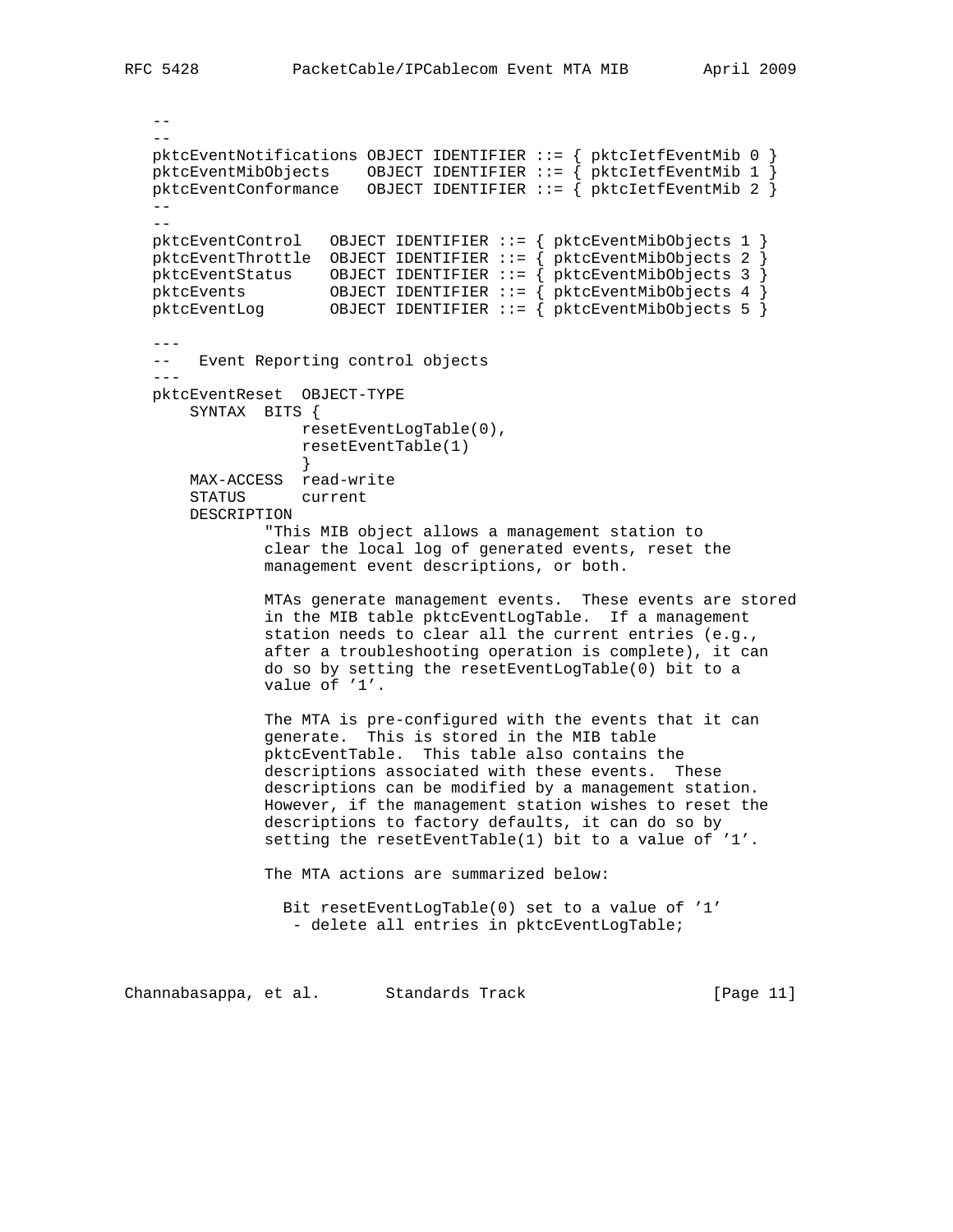```
- -- - pktcEventNotifications OBJECT IDENTIFIER ::= { pktcIetfEventMib 0 }
   pktcEventMibObjects OBJECT IDENTIFIER ::= { pktcIetfEventMib 1 }
   pktcEventConformance OBJECT IDENTIFIER ::= { pktcIetfEventMib 2 }
- --
   pktcEventControl OBJECT IDENTIFIER ::= { pktcEventMibObjects 1 }
   pktcEventThrottle OBJECT IDENTIFIER ::= { pktcEventMibObjects 2 }
 pktcEventStatus OBJECT IDENTIFIER ::= { pktcEventMibObjects 3 }
 pktcEvents OBJECT IDENTIFIER ::= { pktcEventMibObjects 4 }
 pktcEventLog OBJECT IDENTIFIER ::= { pktcEventMibObjects 5 }
 ---
   -- Event Reporting control objects
 ---
   pktcEventReset OBJECT-TYPE
       SYNTAX BITS {
                  resetEventLogTable(0),
                   resetEventTable(1)
 }
       MAX-ACCESS read-write
       STATUS current
       DESCRIPTION
               "This MIB object allows a management station to
               clear the local log of generated events, reset the
               management event descriptions, or both.
               MTAs generate management events. These events are stored
               in the MIB table pktcEventLogTable. If a management
               station needs to clear all the current entries (e.g.,
               after a troubleshooting operation is complete), it can
               do so by setting the resetEventLogTable(0) bit to a
               value of '1'.
               The MTA is pre-configured with the events that it can
               generate. This is stored in the MIB table
               pktcEventTable. This table also contains the
               descriptions associated with these events. These
               descriptions can be modified by a management station.
               However, if the management station wishes to reset the
               descriptions to factory defaults, it can do so by
               setting the resetEventTable(1) bit to a value of '1'.
               The MTA actions are summarized below:
                 Bit resetEventLogTable(0) set to a value of '1'
                 - delete all entries in pktcEventLogTable;
Channabasappa, et al. Standards Track (Page 11)
```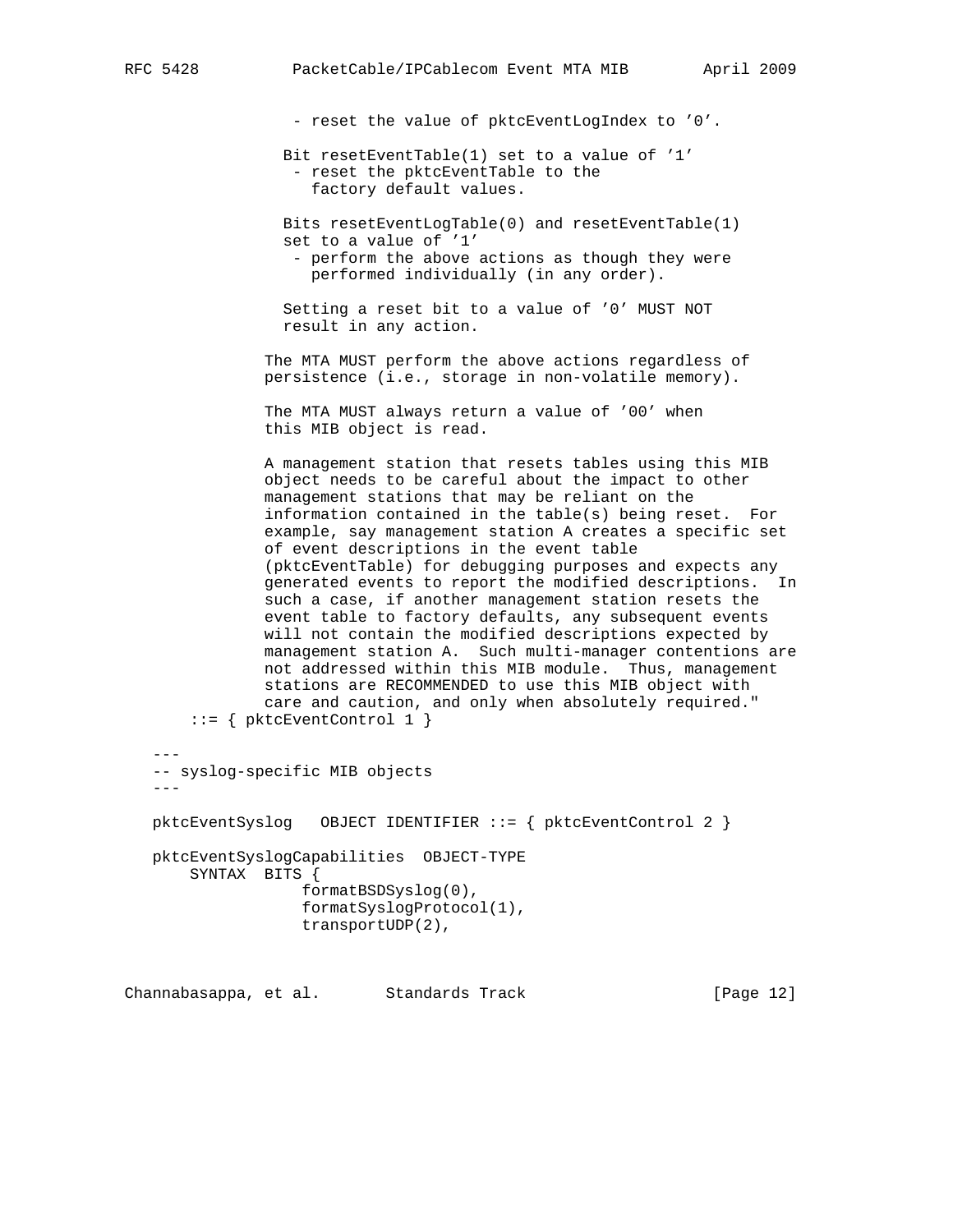- reset the value of pktcEventLogIndex to '0'.

 Bit resetEventTable(1) set to a value of '1' - reset the pktcEventTable to the factory default values.

 Bits resetEventLogTable(0) and resetEventTable(1) set to a value of '1' - perform the above actions as though they were performed individually (in any order).

 Setting a reset bit to a value of '0' MUST NOT result in any action.

 The MTA MUST perform the above actions regardless of persistence (i.e., storage in non-volatile memory).

 The MTA MUST always return a value of '00' when this MIB object is read.

 A management station that resets tables using this MIB object needs to be careful about the impact to other management stations that may be reliant on the information contained in the table(s) being reset. For example, say management station A creates a specific set of event descriptions in the event table (pktcEventTable) for debugging purposes and expects any generated events to report the modified descriptions. In such a case, if another management station resets the event table to factory defaults, any subsequent events will not contain the modified descriptions expected by management station A. Such multi-manager contentions are not addressed within this MIB module. Thus, management stations are RECOMMENDED to use this MIB object with care and caution, and only when absolutely required." ::= { pktcEventControl 1 }

 --- -- syslog-specific MIB objects -- pktcEventSyslog OBJECT IDENTIFIER ::= { pktcEventControl 2 } pktcEventSyslogCapabilities OBJECT-TYPE SYNTAX BITS { formatBSDSyslog(0), formatSyslogProtocol(1), transportUDP(2),

Channabasappa, et al. Standards Track [Page 12]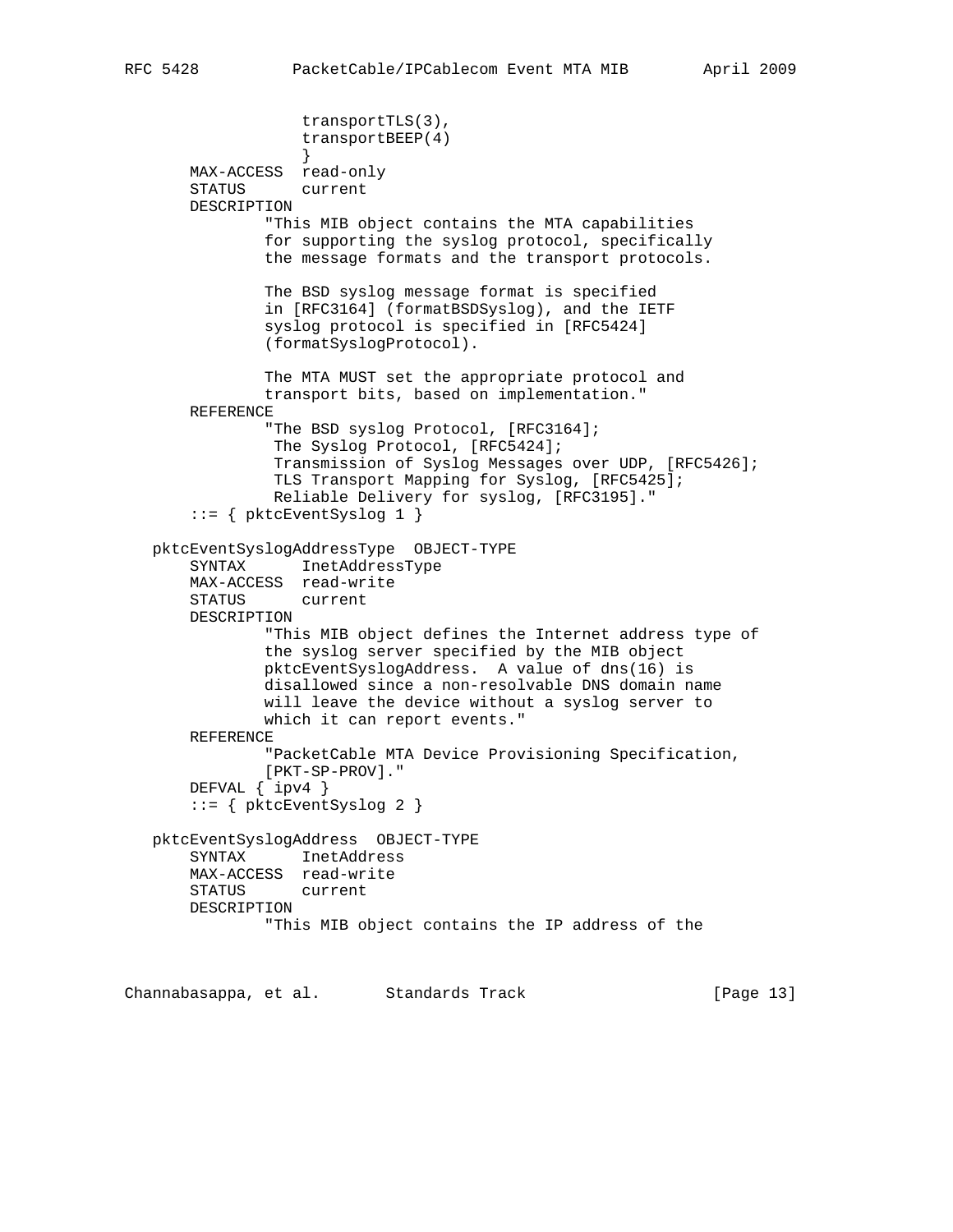```
 transportTLS(3),
                    transportBEEP(4)
 }
       MAX-ACCESS read-only
       STATUS current
       DESCRIPTION
               "This MIB object contains the MTA capabilities
               for supporting the syslog protocol, specifically
               the message formats and the transport protocols.
               The BSD syslog message format is specified
               in [RFC3164] (formatBSDSyslog), and the IETF
               syslog protocol is specified in [RFC5424]
               (formatSyslogProtocol).
               The MTA MUST set the appropriate protocol and
               transport bits, based on implementation."
       REFERENCE
               "The BSD syslog Protocol, [RFC3164];
                The Syslog Protocol, [RFC5424];
                Transmission of Syslog Messages over UDP, [RFC5426];
                TLS Transport Mapping for Syslog, [RFC5425];
                Reliable Delivery for syslog, [RFC3195]."
        ::= { pktcEventSyslog 1 }
   pktcEventSyslogAddressType OBJECT-TYPE
       SYNTAX InetAddressType
       MAX-ACCESS read-write
       STATUS current
       DESCRIPTION
               "This MIB object defines the Internet address type of
               the syslog server specified by the MIB object
               pktcEventSyslogAddress. A value of dns(16) is
               disallowed since a non-resolvable DNS domain name
               will leave the device without a syslog server to
               which it can report events."
       REFERENCE
               "PacketCable MTA Device Provisioning Specification,
               [PKT-SP-PROV]."
       DEFVAL { ipv4 }
        ::= { pktcEventSyslog 2 }
   pktcEventSyslogAddress OBJECT-TYPE
       SYNTAX InetAddress
       MAX-ACCESS read-write
       STATUS current
       DESCRIPTION
                "This MIB object contains the IP address of the
```
Channabasappa, et al. Standards Track [Page 13]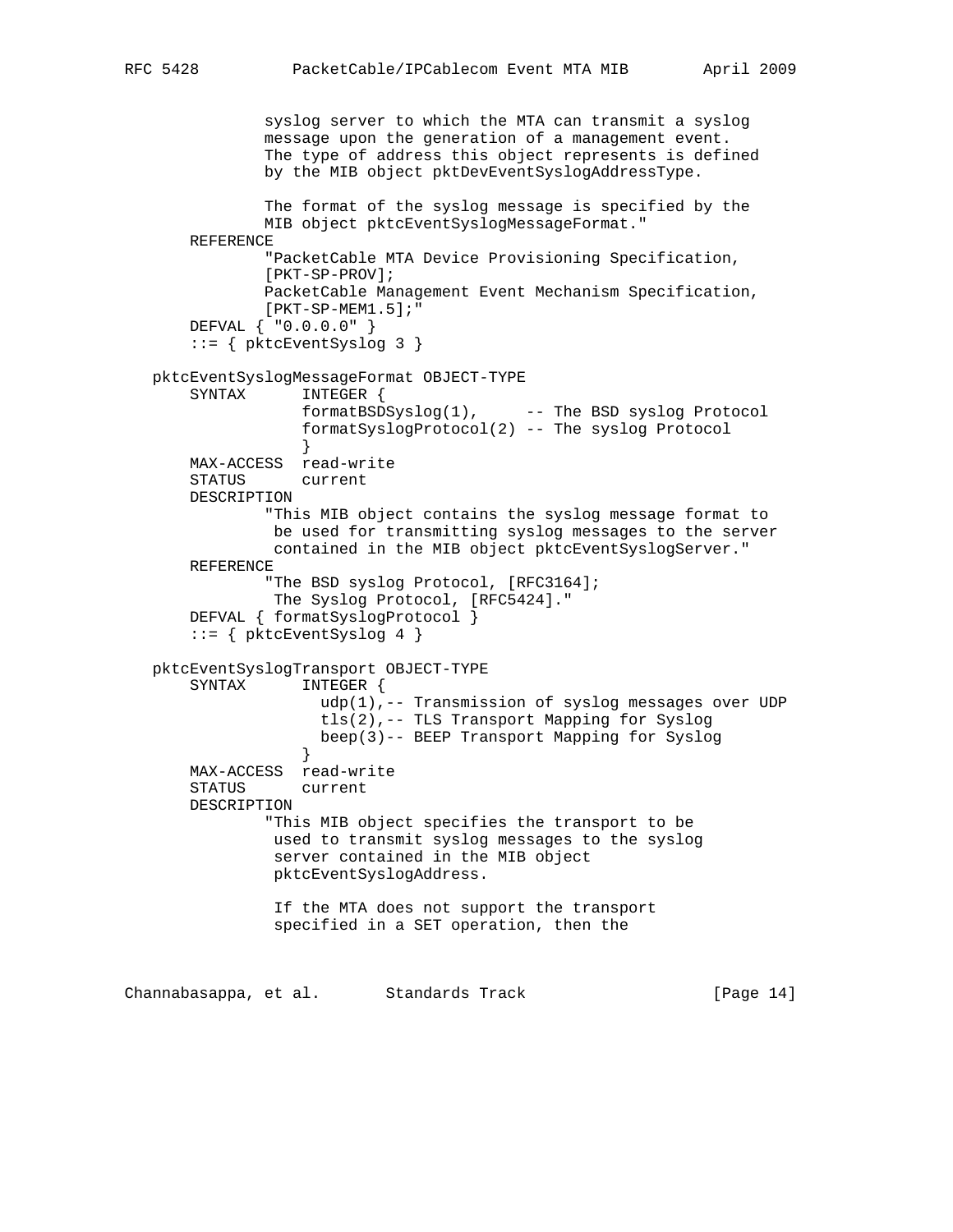```
 syslog server to which the MTA can transmit a syslog
               message upon the generation of a management event.
               The type of address this object represents is defined
               by the MIB object pktDevEventSyslogAddressType.
               The format of the syslog message is specified by the
               MIB object pktcEventSyslogMessageFormat."
       REFERENCE
               "PacketCable MTA Device Provisioning Specification,
               [PKT-SP-PROV];
               PacketCable Management Event Mechanism Specification,
               [PKT-SP-MEM1.5];"
       DEFVAL { "0.0.0.0" }
       ::= { pktcEventSyslog 3 }
   pktcEventSyslogMessageFormat OBJECT-TYPE
       SYNTAX INTEGER {
                   formatBSDSyslog(1), -- The BSD syslog Protocol
                   formatSyslogProtocol(2) -- The syslog Protocol
 }
       MAX-ACCESS read-write
       STATUS current
       DESCRIPTION
                "This MIB object contains the syslog message format to
                be used for transmitting syslog messages to the server
                contained in the MIB object pktcEventSyslogServer."
       REFERENCE
                "The BSD syslog Protocol, [RFC3164];
                The Syslog Protocol, [RFC5424]."
       DEFVAL { formatSyslogProtocol }
       ::= { pktcEventSyslog 4 }
   pktcEventSyslogTransport OBJECT-TYPE
                  INTEGER {
                     udp(1),-- Transmission of syslog messages over UDP
                     tls(2),-- TLS Transport Mapping for Syslog
                     beep(3)-- BEEP Transport Mapping for Syslog
 }
       MAX-ACCESS read-write
       STATUS current
       DESCRIPTION
                "This MIB object specifies the transport to be
                used to transmit syslog messages to the syslog
                server contained in the MIB object
                pktcEventSyslogAddress.
                If the MTA does not support the transport
                specified in a SET operation, then the
```
Channabasappa, et al. Standards Track [Page 14]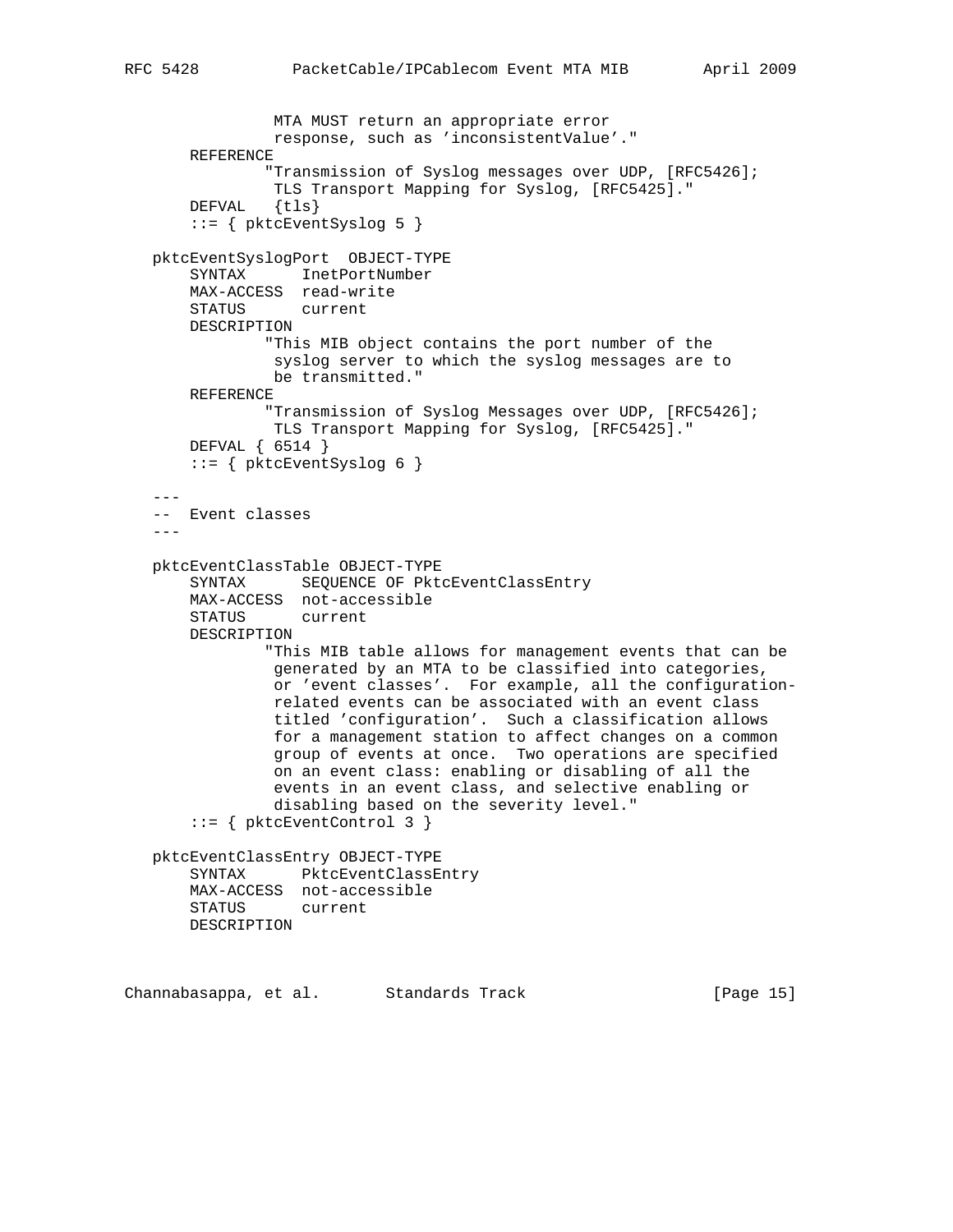```
 MTA MUST return an appropriate error
                response, such as 'inconsistentValue'."
       REFERENCE
                "Transmission of Syslog messages over UDP, [RFC5426];
      TLS Transport Mapping for Syslog, [RFC5425]."<br>DEFVAL {tls}
              \{tls\} ::= { pktcEventSyslog 5 }
   pktcEventSyslogPort OBJECT-TYPE
       SYNTAX InetPortNumber
       MAX-ACCESS read-write
       STATUS current
       DESCRIPTION
               "This MIB object contains the port number of the
                syslog server to which the syslog messages are to
                be transmitted."
       REFERENCE
                "Transmission of Syslog Messages over UDP, [RFC5426];
                TLS Transport Mapping for Syslog, [RFC5425]."
       DEFVAL { 6514 }
      ::= { pktcEventSyslog 6 }
 ---
   -- Event classes
  - - - pktcEventClassTable OBJECT-TYPE
       SYNTAX SEQUENCE OF PktcEventClassEntry
       MAX-ACCESS not-accessible
       STATUS current
       DESCRIPTION
                "This MIB table allows for management events that can be
                generated by an MTA to be classified into categories,
                or 'event classes'. For example, all the configuration-
                related events can be associated with an event class
                titled 'configuration'. Such a classification allows
                for a management station to affect changes on a common
                group of events at once. Two operations are specified
                 on an event class: enabling or disabling of all the
                 events in an event class, and selective enabling or
                disabling based on the severity level."
        ::= { pktcEventControl 3 }
   pktcEventClassEntry OBJECT-TYPE
       SYNTAX PktcEventClassEntry
       MAX-ACCESS not-accessible
       STATUS current
       DESCRIPTION
```
Channabasappa, et al. Standards Track [Page 15]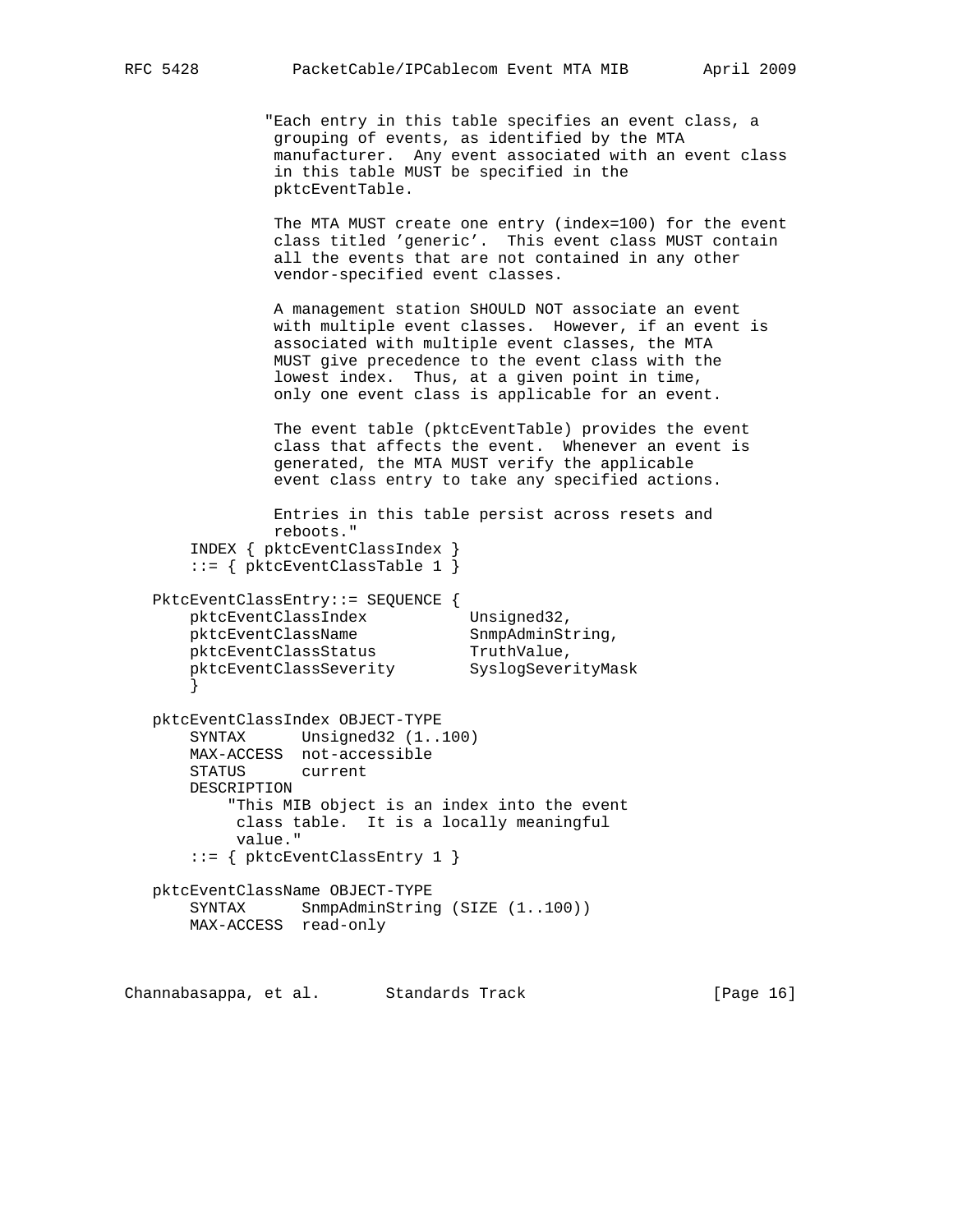"Each entry in this table specifies an event class, a grouping of events, as identified by the MTA manufacturer. Any event associated with an event class in this table MUST be specified in the pktcEventTable.

 The MTA MUST create one entry (index=100) for the event class titled 'generic'. This event class MUST contain all the events that are not contained in any other vendor-specified event classes.

 A management station SHOULD NOT associate an event with multiple event classes. However, if an event is associated with multiple event classes, the MTA MUST give precedence to the event class with the lowest index. Thus, at a given point in time, only one event class is applicable for an event.

 The event table (pktcEventTable) provides the event class that affects the event. Whenever an event is generated, the MTA MUST verify the applicable event class entry to take any specified actions.

```
 Entries in this table persist across resets and
               reboots."
       INDEX { pktcEventClassIndex }
       ::= { pktcEventClassTable 1 }
   PktcEventClassEntry::= SEQUENCE {
      pktcEventClassIndex Unsigned32,
      pktcEventClassName SnmpAdminString,
pktcEventClassStatus TruthValue,
pktcEventClassSeverity SyslogSeverityMask
 }
   pktcEventClassIndex OBJECT-TYPE
       SYNTAX Unsigned32 (1..100)
       MAX-ACCESS not-accessible
       STATUS current
       DESCRIPTION
           "This MIB object is an index into the event
           class table. It is a locally meaningful
           value."
       ::= { pktcEventClassEntry 1 }
```

```
 pktcEventClassName OBJECT-TYPE
   SYNTAX SnmpAdminString (SIZE (1..100))
    MAX-ACCESS read-only
```
Channabasappa, et al. Standards Track [Page 16]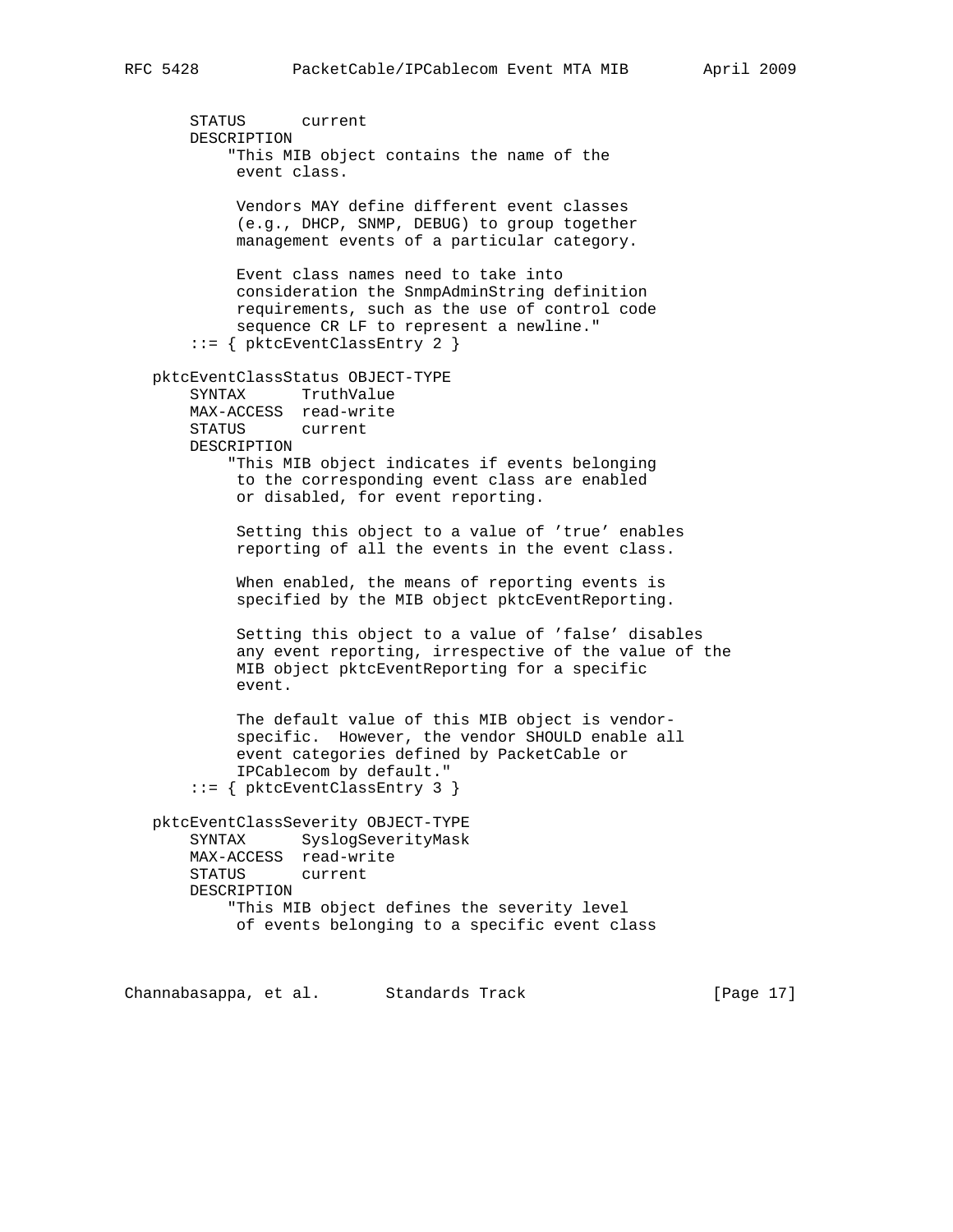STATUS current DESCRIPTION "This MIB object contains the name of the event class. Vendors MAY define different event classes (e.g., DHCP, SNMP, DEBUG) to group together management events of a particular category. Event class names need to take into consideration the SnmpAdminString definition requirements, such as the use of control code sequence CR LF to represent a newline." ::= { pktcEventClassEntry 2 } pktcEventClassStatus OBJECT-TYPE SYNTAX TruthValue

MAX-ACCESS read-write<br>STATUS current STATUS DESCRIPTION "This MIB object indicates if events belonging to the corresponding event class are enabled or disabled, for event reporting.

> Setting this object to a value of 'true' enables reporting of all the events in the event class.

 When enabled, the means of reporting events is specified by the MIB object pktcEventReporting.

 Setting this object to a value of 'false' disables any event reporting, irrespective of the value of the MIB object pktcEventReporting for a specific event.

 The default value of this MIB object is vendor specific. However, the vendor SHOULD enable all event categories defined by PacketCable or IPCablecom by default." ::= { pktcEventClassEntry 3 }

 pktcEventClassSeverity OBJECT-TYPE SYNTAX SyslogSeverityMask MAX-ACCESS read-write STATUS current DESCRIPTION "This MIB object defines the severity level of events belonging to a specific event class

Channabasappa, et al. Standards Track [Page 17]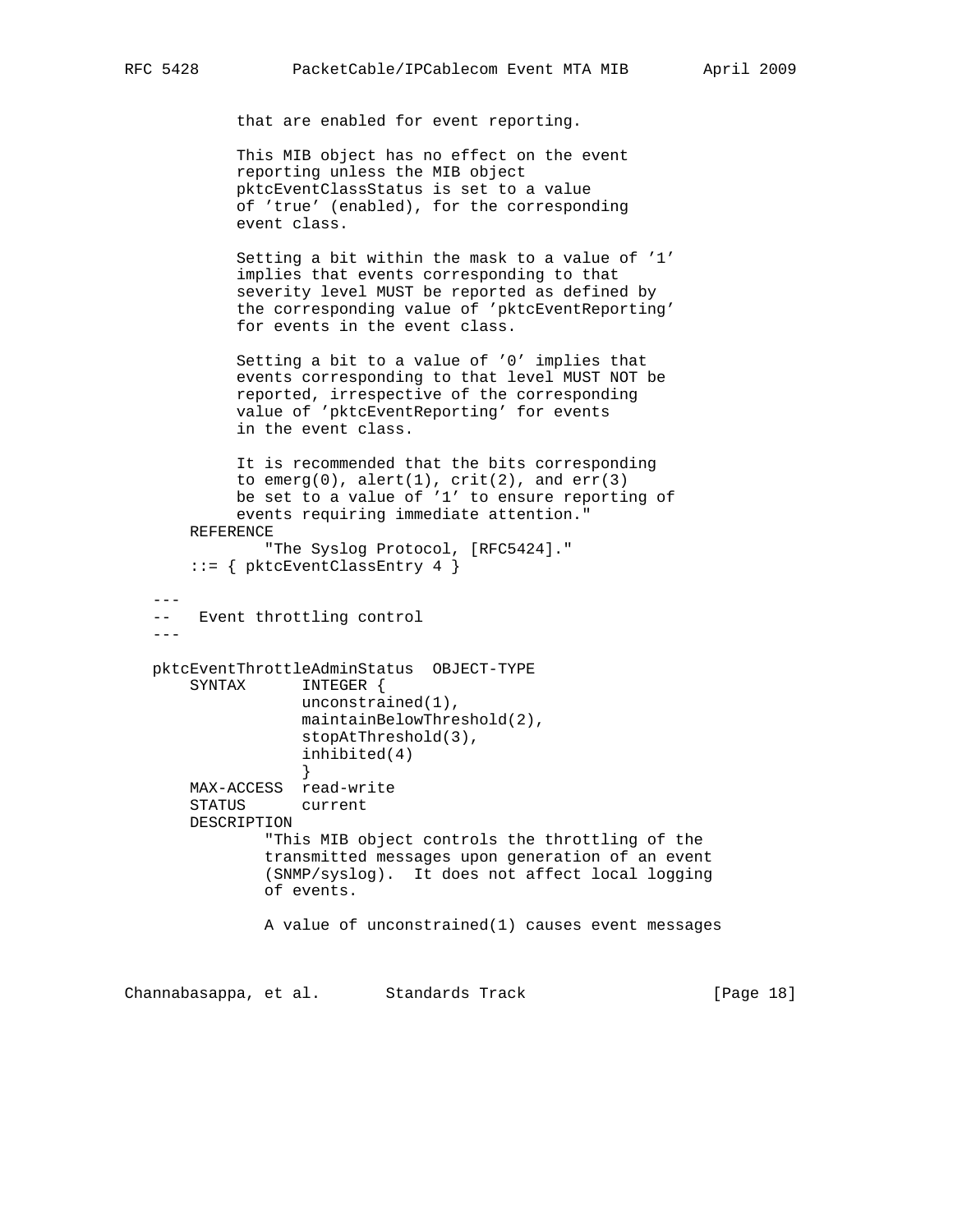that are enabled for event reporting.

 This MIB object has no effect on the event reporting unless the MIB object pktcEventClassStatus is set to a value of 'true' (enabled), for the corresponding event class.

 Setting a bit within the mask to a value of '1' implies that events corresponding to that severity level MUST be reported as defined by the corresponding value of 'pktcEventReporting' for events in the event class.

 Setting a bit to a value of '0' implies that events corresponding to that level MUST NOT be reported, irrespective of the corresponding value of 'pktcEventReporting' for events in the event class.

 It is recommended that the bits corresponding to emerg(0), alert(1),  $crit(2)$ , and  $err(3)$  be set to a value of '1' to ensure reporting of events requiring immediate attention." REFERENCE

```
 "The Syslog Protocol, [RFC5424]."
 ::= { pktcEventClassEntry 4 }
```
 $---$ -- Event throttling control

 $---$ 

```
 pktcEventThrottleAdminStatus OBJECT-TYPE
       SYNTAX INTEGER {
                  unconstrained(1),
                  maintainBelowThreshold(2),
                  stopAtThreshold(3),
                  inhibited(4)
 }
       MAX-ACCESS read-write
       STATUS current
       DESCRIPTION
```
 "This MIB object controls the throttling of the transmitted messages upon generation of an event (SNMP/syslog). It does not affect local logging of events.

A value of unconstrained(1) causes event messages

Channabasappa, et al. Standards Track [Page 18]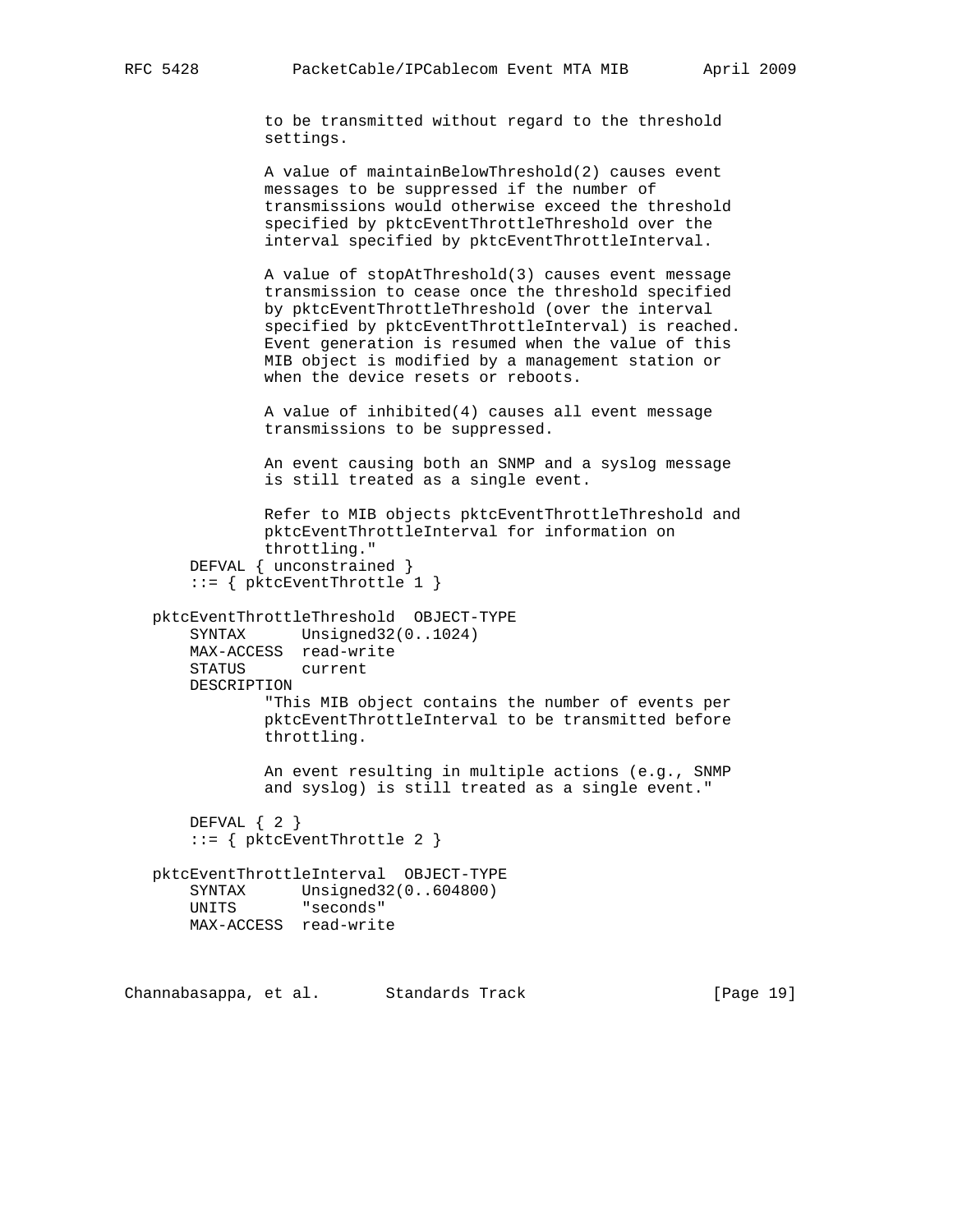to be transmitted without regard to the threshold settings.

 A value of maintainBelowThreshold(2) causes event messages to be suppressed if the number of transmissions would otherwise exceed the threshold specified by pktcEventThrottleThreshold over the interval specified by pktcEventThrottleInterval.

 A value of stopAtThreshold(3) causes event message transmission to cease once the threshold specified by pktcEventThrottleThreshold (over the interval specified by pktcEventThrottleInterval) is reached. Event generation is resumed when the value of this MIB object is modified by a management station or when the device resets or reboots.

 A value of inhibited(4) causes all event message transmissions to be suppressed.

 An event causing both an SNMP and a syslog message is still treated as a single event.

```
 Refer to MIB objects pktcEventThrottleThreshold and
         pktcEventThrottleInterval for information on
         throttling."
DEFVAL { unconstrained }
 ::= { pktcEventThrottle 1 }
```
 pktcEventThrottleThreshold OBJECT-TYPE SYNTAX Unsigned32(0..1024) MAX-ACCESS read-write STATUS current DESCRIPTION "This MIB object contains the number of events per pktcEventThrottleInterval to be transmitted before throttling.

> An event resulting in multiple actions (e.g., SNMP and syslog) is still treated as a single event."

```
 DEFVAL { 2 }
 ::= { pktcEventThrottle 2 }
```
 pktcEventThrottleInterval OBJECT-TYPE SYNTAX Unsigned32(0..604800) UNITS "seconds" MAX-ACCESS read-write

Channabasappa, et al. Standards Track [Page 19]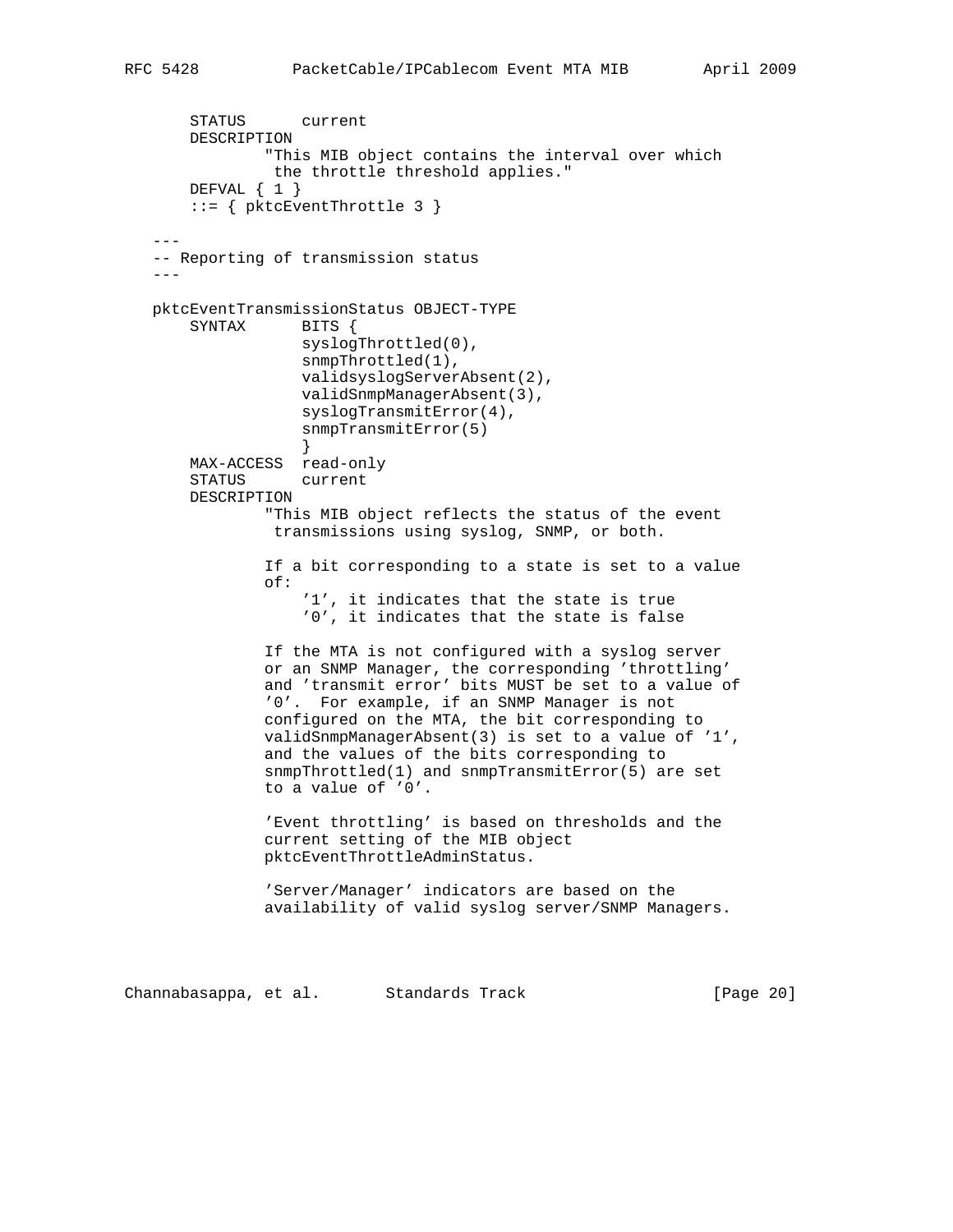```
 STATUS current
       DESCRIPTION
               "This MIB object contains the interval over which
                the throttle threshold applies."
       DEFVAL { 1 }
       ::= { pktcEventThrottle 3 }
 ---
   -- Reporting of transmission status
  -- pktcEventTransmissionStatus OBJECT-TYPE
       SYNTAX BITS {
                   syslogThrottled(0),
                   snmpThrottled(1),
                   validsyslogServerAbsent(2),
                   validSnmpManagerAbsent(3),
                   syslogTransmitError(4),
                   snmpTransmitError(5)
 }
       MAX-ACCESS read-only
       STATUS current
       DESCRIPTION
               "This MIB object reflects the status of the event
                transmissions using syslog, SNMP, or both.
               If a bit corresponding to a state is set to a value
               of:
                    '1', it indicates that the state is true
                    '0', it indicates that the state is false
               If the MTA is not configured with a syslog server
               or an SNMP Manager, the corresponding 'throttling'
               and 'transmit error' bits MUST be set to a value of
               '0'. For example, if an SNMP Manager is not
               configured on the MTA, the bit corresponding to
               validSnmpManagerAbsent(3) is set to a value of '1',
               and the values of the bits corresponding to
               snmpThrottled(1) and snmpTransmitError(5) are set
               to a value of '0'.
               'Event throttling' is based on thresholds and the
               current setting of the MIB object
               pktcEventThrottleAdminStatus.
                'Server/Manager' indicators are based on the
               availability of valid syslog server/SNMP Managers.
Channabasappa, et al. Standards Track [Page 20]
```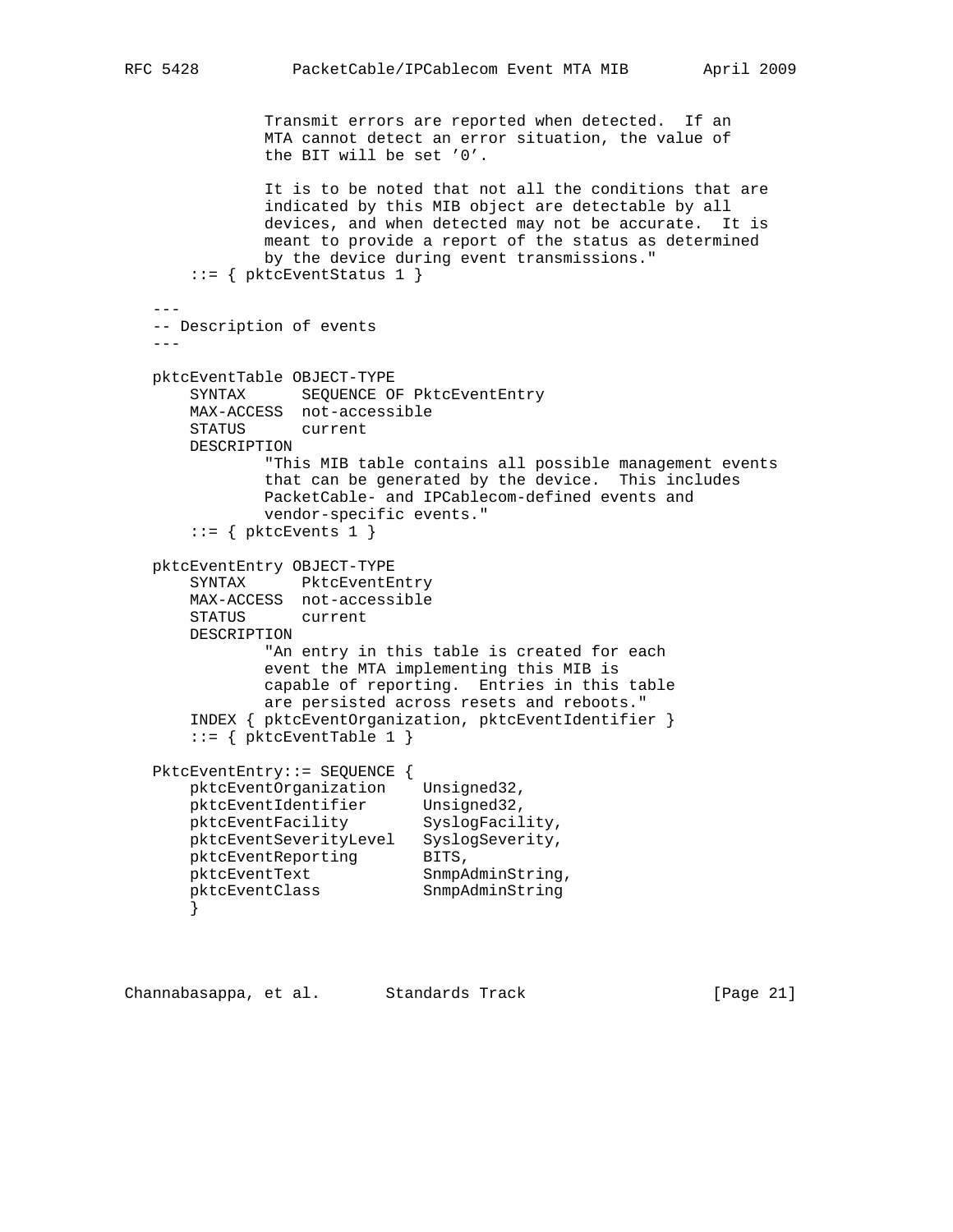Transmit errors are reported when detected. If an MTA cannot detect an error situation, the value of the BIT will be set '0'. It is to be noted that not all the conditions that are indicated by this MIB object are detectable by all devices, and when detected may not be accurate. It is meant to provide a report of the status as determined by the device during event transmissions."  $::=$  { pktcEventStatus 1 } --- -- Description of events -- pktcEventTable OBJECT-TYPE SYNTAX SEQUENCE OF PktcEventEntry MAX-ACCESS not-accessible STATUS current DESCRIPTION "This MIB table contains all possible management events that can be generated by the device. This includes PacketCable- and IPCablecom-defined events and vendor-specific events."  $::=$  { pktcEvents 1 } pktcEventEntry OBJECT-TYPE SYNTAX PktcEventEntry MAX-ACCESS not-accessible STATUS current DESCRIPTION "An entry in this table is created for each event the MTA implementing this MIB is capable of reporting. Entries in this table are persisted across resets and reboots." INDEX { pktcEventOrganization, pktcEventIdentifier }  $::=$  { pktcEventTable 1 } PktcEventEntry::= SEQUENCE { pktcEventOrganization Unsigned32, pktcEventIdentifier Unsigned32, pktcEventFacility SyslogFacility, pktcEventSeverityLevel SyslogSeverity, pktcEventReporting BITS, pktcEventText SnmpAdminString,

.<br>pktcEventClass SnmpAdminString

}

Channabasappa, et al. Standards Track [Page 21]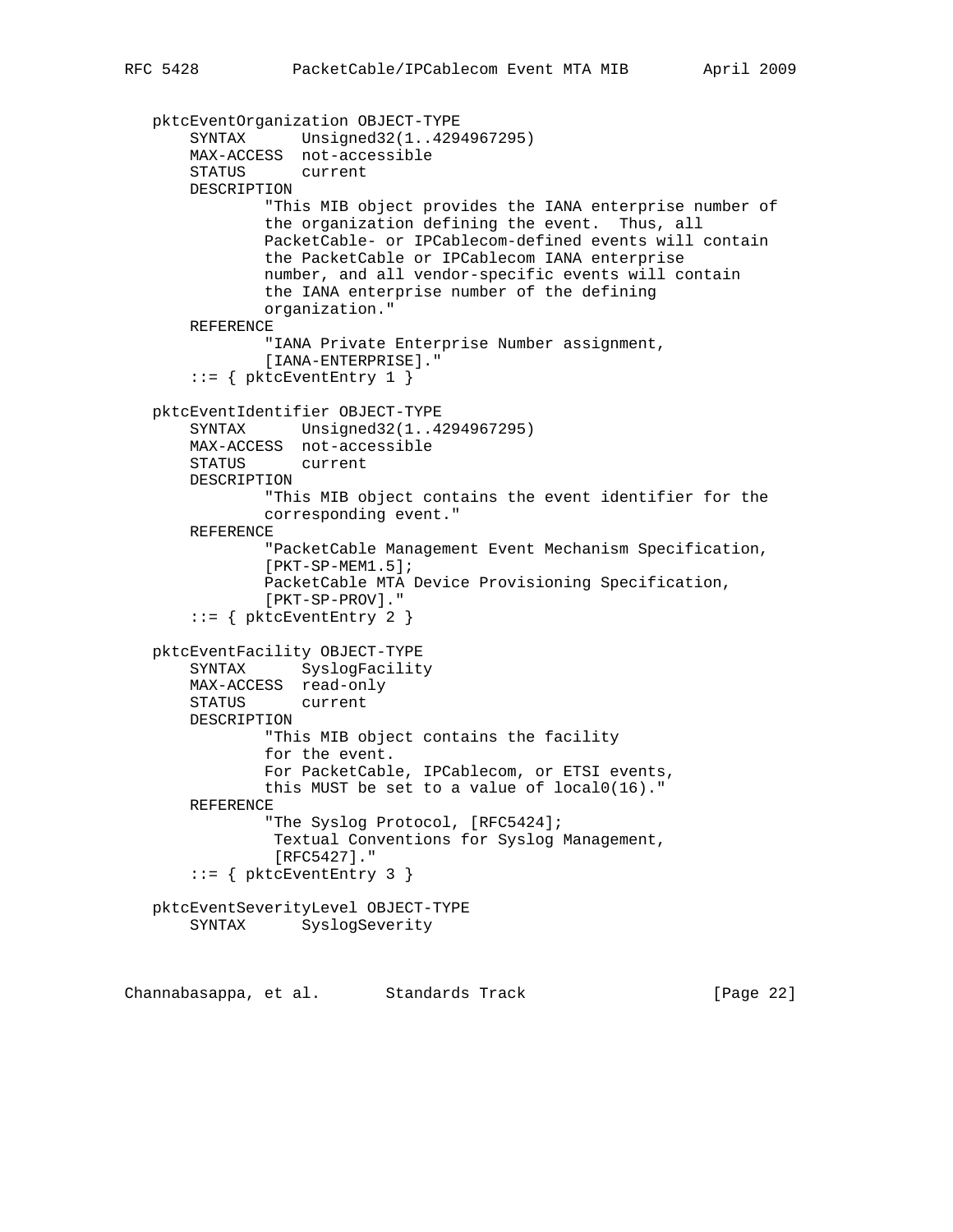```
 pktcEventOrganization OBJECT-TYPE
     SYNTAX Unsigned32(1..4294967295)
     MAX-ACCESS not-accessible
     STATUS current
     DESCRIPTION
             "This MIB object provides the IANA enterprise number of
             the organization defining the event. Thus, all
             PacketCable- or IPCablecom-defined events will contain
             the PacketCable or IPCablecom IANA enterprise
             number, and all vendor-specific events will contain
             the IANA enterprise number of the defining
             organization."
     REFERENCE
             "IANA Private Enterprise Number assignment,
             [IANA-ENTERPRISE]."
     ::= { pktcEventEntry 1 }
 pktcEventIdentifier OBJECT-TYPE
     SYNTAX Unsigned32(1..4294967295)
     MAX-ACCESS not-accessible
     STATUS current
     DESCRIPTION
             "This MIB object contains the event identifier for the
             corresponding event."
     REFERENCE
             "PacketCable Management Event Mechanism Specification,
             [PKT-SP-MEM1.5];
             PacketCable MTA Device Provisioning Specification,
             [PKT-SP-PROV]."
     ::= { pktcEventEntry 2 }
 pktcEventFacility OBJECT-TYPE
     SYNTAX SyslogFacility
     MAX-ACCESS read-only
     STATUS current
     DESCRIPTION
             "This MIB object contains the facility
             for the event.
             For PacketCable, IPCablecom, or ETSI events,
             this MUST be set to a value of local0(16)."
     REFERENCE
             "The Syslog Protocol, [RFC5424];
              Textual Conventions for Syslog Management,
              [RFC5427]."
    ::= { pktcEventEntry 3 }
 pktcEventSeverityLevel OBJECT-TYPE
     SYNTAX SyslogSeverity
```
Channabasappa, et al. Standards Track [Page 22]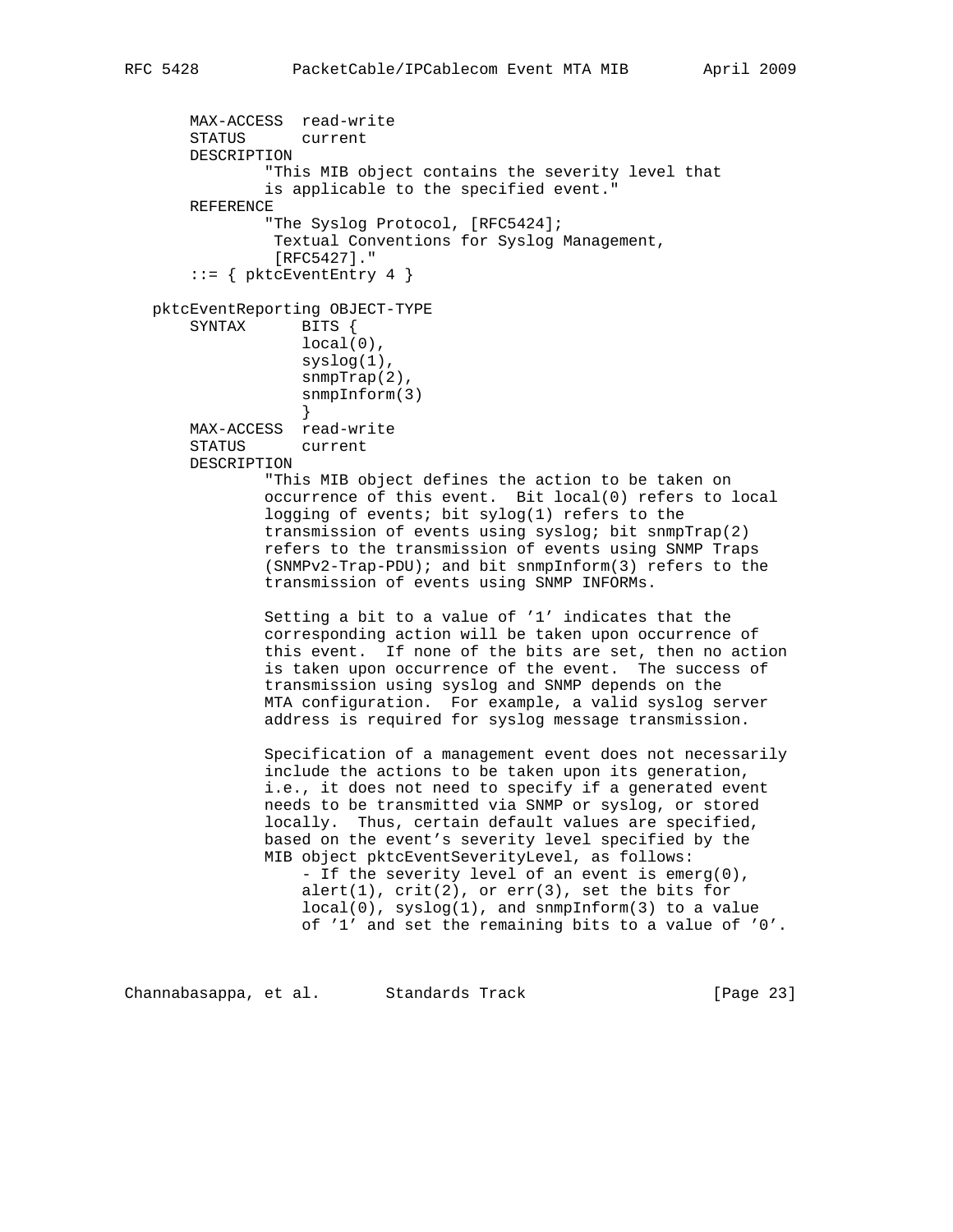```
 MAX-ACCESS read-write
       STATUS current
       DESCRIPTION
                "This MIB object contains the severity level that
               is applicable to the specified event."
       REFERENCE
                "The Syslog Protocol, [RFC5424];
                Textual Conventions for Syslog Management,
                [RFC5427]."
        ::= { pktcEventEntry 4 }
   pktcEventReporting OBJECT-TYPE
      SYNTAX BITS {
                  local(0),
                   syslog(1),
                    snmpTrap(2),
                   snmpInform(3)
 }
       MAX-ACCESS read-write
       STATUS current
       DESCRIPTION
               "This MIB object defines the action to be taken on
               occurrence of this event. Bit local(0) refers to local
               logging of events; bit sylog(1) refers to the
               transmission of events using syslog; bit snmpTrap(2)
               refers to the transmission of events using SNMP Traps
               (SNMPv2-Trap-PDU); and bit snmpInform(3) refers to the
               transmission of events using SNMP INFORMs.
               Setting a bit to a value of '1' indicates that the
               corresponding action will be taken upon occurrence of
               this event. If none of the bits are set, then no action
               is taken upon occurrence of the event. The success of
               transmission using syslog and SNMP depends on the
               MTA configuration. For example, a valid syslog server
               address is required for syslog message transmission.
               Specification of a management event does not necessarily
               include the actions to be taken upon its generation,
               i.e., it does not need to specify if a generated event
               needs to be transmitted via SNMP or syslog, or stored
               locally. Thus, certain default values are specified,
               based on the event's severity level specified by the
               MIB object pktcEventSeverityLevel, as follows:
                    - If the severity level of an event is emerg(0),
                  alert(1), crit(2), or err(3), set the bits for
                  local(0), syslog(1), and sumpInform(3) to a value
                   of '1' and set the remaining bits to a value of '0'.
```
Channabasappa, et al. Standards Track [Page 23]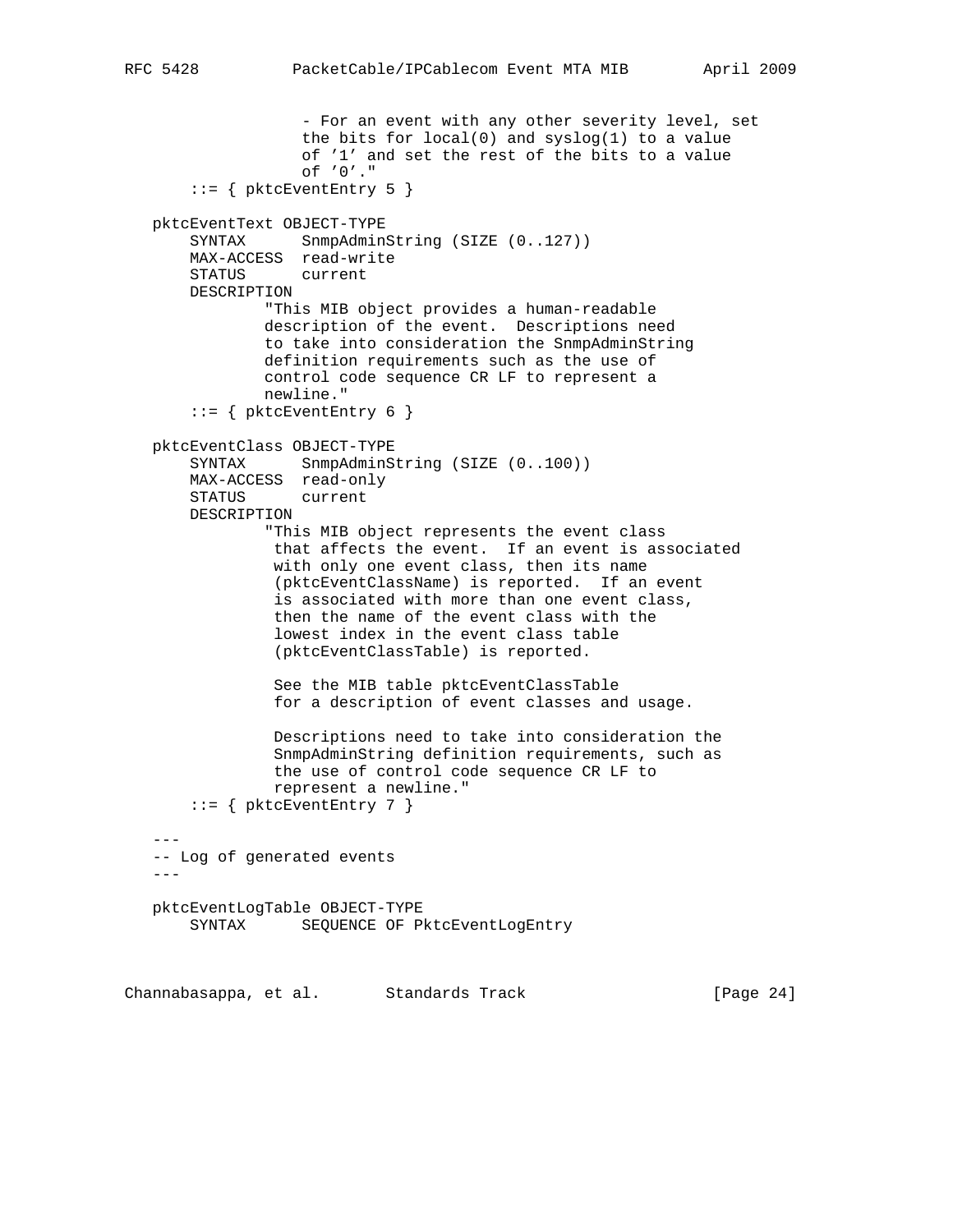```
 - For an event with any other severity level, set
                    the bits for local(0) and syslog(1) to a value
                    of '1' and set the rest of the bits to a value
                    of '0'."
       ::= { pktcEventEntry 5 }
    pktcEventText OBJECT-TYPE
      SYNTAX SnmpAdminString (SIZE (0..127))
       MAX-ACCESS read-write
       STATUS current
       DESCRIPTION
               "This MIB object provides a human-readable
               description of the event. Descriptions need
                to take into consideration the SnmpAdminString
               definition requirements such as the use of
               control code sequence CR LF to represent a
               newline."
       ::= { pktcEventEntry 6 }
   pktcEventClass OBJECT-TYPE
      SYNTAX SnmpAdminString (SIZE (0..100))
       MAX-ACCESS read-only
       STATUS current
       DESCRIPTION
                "This MIB object represents the event class
                 that affects the event. If an event is associated
                with only one event class, then its name
                 (pktcEventClassName) is reported. If an event
                 is associated with more than one event class,
                 then the name of the event class with the
                 lowest index in the event class table
                 (pktcEventClassTable) is reported.
                 See the MIB table pktcEventClassTable
                 for a description of event classes and usage.
                 Descriptions need to take into consideration the
                 SnmpAdminString definition requirements, such as
                 the use of control code sequence CR LF to
                 represent a newline."
       ::= { pktcEventEntry 7 }
   -- -- Log of generated events
   - - - pktcEventLogTable OBJECT-TYPE
      SYNTAX SEQUENCE OF PktcEventLogEntry
Channabasappa, et al. Standards Track [Page 24]
```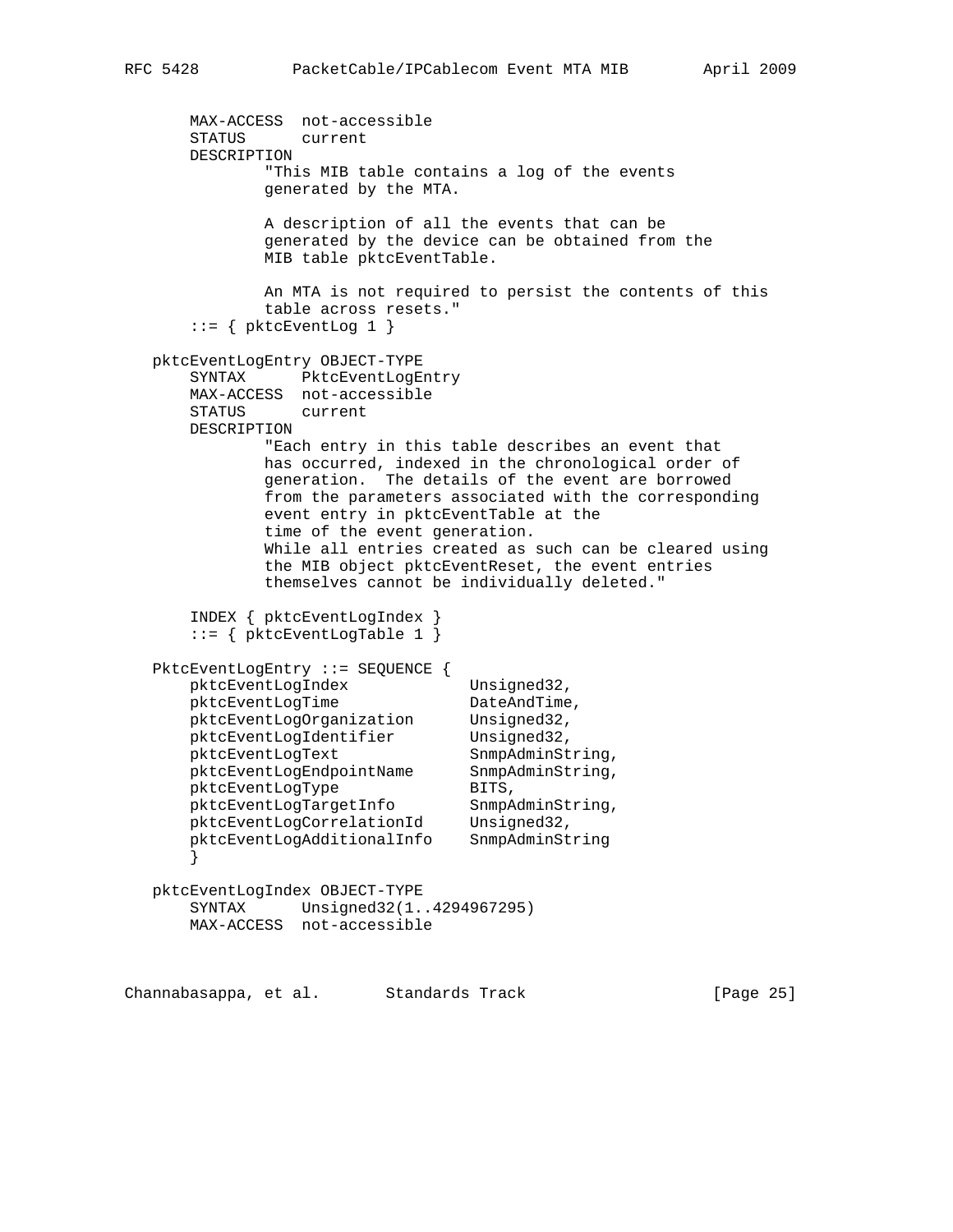```
 MAX-ACCESS not-accessible
       STATUS current
       DESCRIPTION
              "This MIB table contains a log of the events
              generated by the MTA.
              A description of all the events that can be
              generated by the device can be obtained from the
              MIB table pktcEventTable.
              An MTA is not required to persist the contents of this
              table across resets."
      ::= { pktcEventLog 1 }
   pktcEventLogEntry OBJECT-TYPE
       SYNTAX PktcEventLogEntry
       MAX-ACCESS not-accessible
       STATUS current
       DESCRIPTION
              "Each entry in this table describes an event that
              has occurred, indexed in the chronological order of
              generation. The details of the event are borrowed
              from the parameters associated with the corresponding
              event entry in pktcEventTable at the
              time of the event generation.
              While all entries created as such can be cleared using
              the MIB object pktcEventReset, the event entries
              themselves cannot be individually deleted."
       INDEX { pktcEventLogIndex }
       ::= { pktcEventLogTable 1 }
   PktcEventLogEntry ::= SEQUENCE {
     pktcEventLogIndex Unsigned32,
pktcEventLogTime DateAndTime,
 pktcEventLogOrganization Unsigned32,
pktcEventLogIdentifier Unsigned32,
pktcEventLogText SnmpAdminString,
 pktcEventLogEndpointName SnmpAdminString,
pktcEventLogType BITS,
 pktcEventLogTargetInfo SnmpAdminString,
 pktcEventLogCorrelationId Unsigned32,
 pktcEventLogAdditionalInfo SnmpAdminString
       }
   pktcEventLogIndex OBJECT-TYPE
       SYNTAX Unsigned32(1..4294967295)
       MAX-ACCESS not-accessible
```
Channabasappa, et al. Standards Track [Page 25]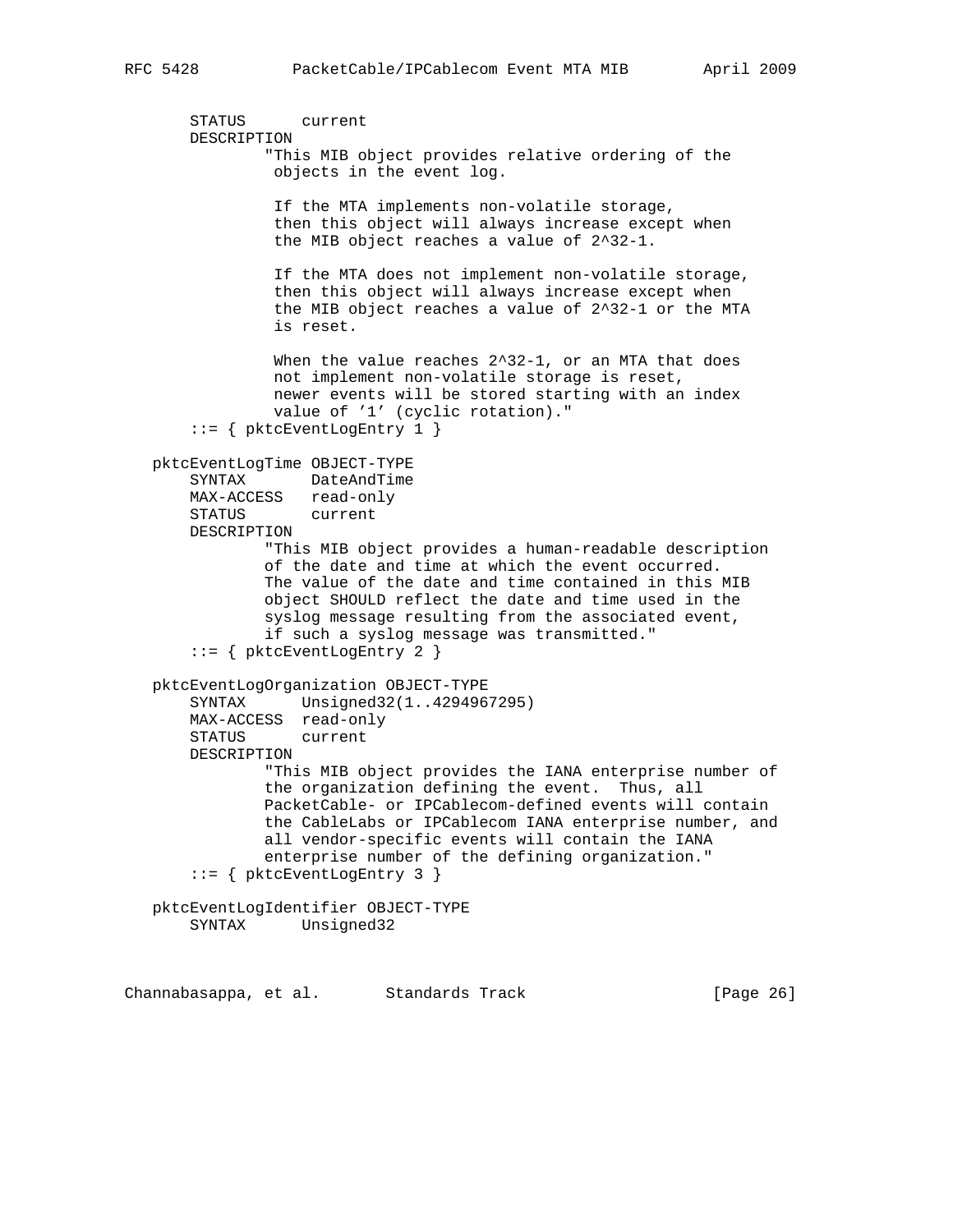```
 STATUS current
 DESCRIPTION
```
 "This MIB object provides relative ordering of the objects in the event log.

 If the MTA implements non-volatile storage, then this object will always increase except when the MIB object reaches a value of 2^32-1.

 If the MTA does not implement non-volatile storage, then this object will always increase except when the MIB object reaches a value of 2^32-1 or the MTA is reset.

When the value reaches 2^32-1, or an MTA that does not implement non-volatile storage is reset, newer events will be stored starting with an index value of '1' (cyclic rotation)."

```
 ::= { pktcEventLogEntry 1 }
```

```
 pktcEventLogTime OBJECT-TYPE
```
 SYNTAX DateAndTime MAX-ACCESS read-only STATUS current

DESCRIPTION

 "This MIB object provides a human-readable description of the date and time at which the event occurred. The value of the date and time contained in this MIB object SHOULD reflect the date and time used in the syslog message resulting from the associated event, if such a syslog message was transmitted."

```
 ::= { pktcEventLogEntry 2 }
```
 pktcEventLogOrganization OBJECT-TYPE SYNTAX Unsigned32(1..4294967295) MAX-ACCESS read-only STATUS current DESCRIPTION "This MIB object provides the IANA enterprise number of the organization defining the event. Thus, all PacketCable- or IPCablecom-defined events will contain the CableLabs or IPCablecom IANA enterprise number, and all vendor-specific events will contain the IANA enterprise number of the defining organization." ::= { pktcEventLogEntry 3 }

 pktcEventLogIdentifier OBJECT-TYPE SYNTAX Unsigned32

Channabasappa, et al. Standards Track [Page 26]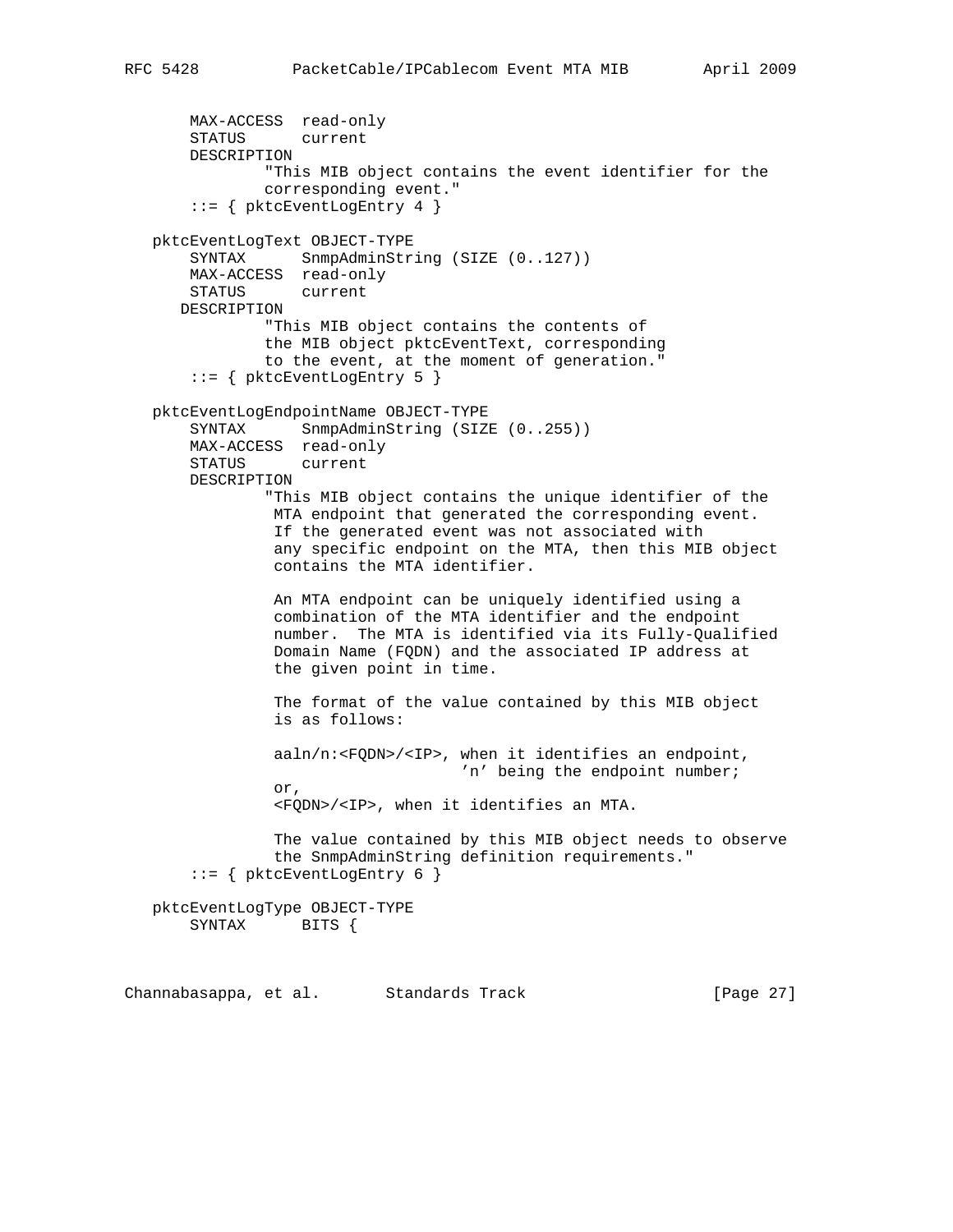```
 MAX-ACCESS read-only
       STATUS current
       DESCRIPTION
                "This MIB object contains the event identifier for the
                corresponding event."
        ::= { pktcEventLogEntry 4 }
   pktcEventLogText OBJECT-TYPE
       SYNTAX SnmpAdminString (SIZE (0..127))
       MAX-ACCESS read-only
       STATUS current
      DESCRIPTION
                "This MIB object contains the contents of
                the MIB object pktcEventText, corresponding
                to the event, at the moment of generation."
        ::= { pktcEventLogEntry 5 }
   pktcEventLogEndpointName OBJECT-TYPE
      SYNTAX SnmpAdminString (SIZE (0..255))
       MAX-ACCESS read-only
       STATUS current
       DESCRIPTION
                "This MIB object contains the unique identifier of the
                MTA endpoint that generated the corresponding event.
                If the generated event was not associated with
                 any specific endpoint on the MTA, then this MIB object
                contains the MTA identifier.
                An MTA endpoint can be uniquely identified using a
                combination of the MTA identifier and the endpoint
                number. The MTA is identified via its Fully-Qualified
                Domain Name (FQDN) and the associated IP address at
                 the given point in time.
                 The format of the value contained by this MIB object
                 is as follows:
                 aaln/n:<FQDN>/<IP>, when it identifies an endpoint,
                                     'n' being the endpoint number;
                 or,
                 <FQDN>/<IP>, when it identifies an MTA.
                 The value contained by this MIB object needs to observe
                 the SnmpAdminString definition requirements."
        ::= { pktcEventLogEntry 6 }
   pktcEventLogType OBJECT-TYPE
       SYNTAX BITS {
Channabasappa, et al. Standards Track [Page 27]
```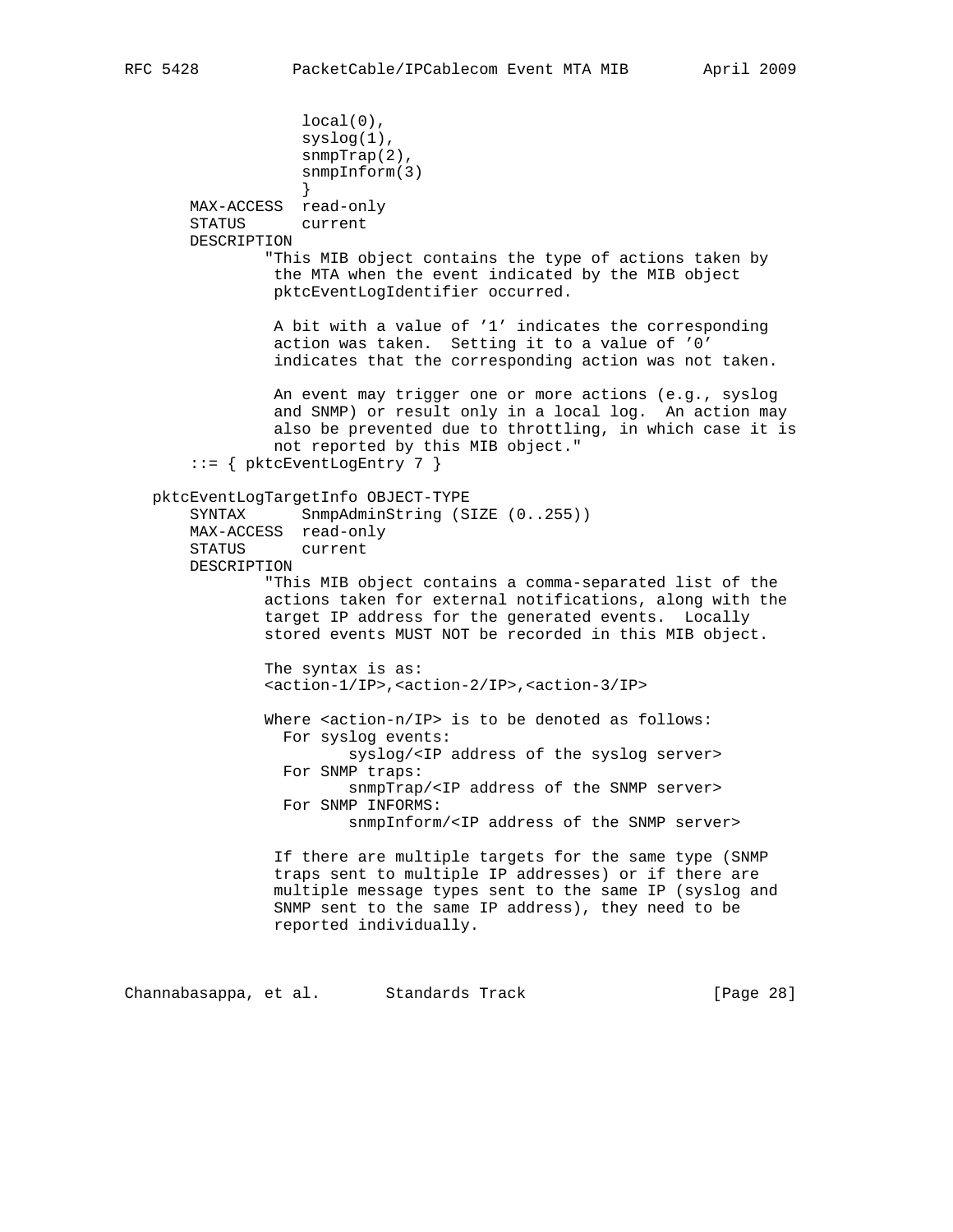```
 local(0),
                    syslog(1),
                    snmpTrap(2),
                    snmpInform(3)
 }
       MAX-ACCESS read-only
       STATUS current
       DESCRIPTION
                "This MIB object contains the type of actions taken by
                the MTA when the event indicated by the MIB object
                pktcEventLogIdentifier occurred.
                A bit with a value of '1' indicates the corresponding
                 action was taken. Setting it to a value of '0'
                 indicates that the corresponding action was not taken.
                An event may trigger one or more actions (e.g., syslog
                and SNMP) or result only in a local log. An action may
                also be prevented due to throttling, in which case it is
                not reported by this MIB object."
        ::= { pktcEventLogEntry 7 }
   pktcEventLogTargetInfo OBJECT-TYPE
      SYNTAX SnmpAdminString (SIZE (0..255))
       MAX-ACCESS read-only
       STATUS current
       DESCRIPTION
                "This MIB object contains a comma-separated list of the
                actions taken for external notifications, along with the
                target IP address for the generated events. Locally
                stored events MUST NOT be recorded in this MIB object.
                The syntax is as:
                <action-1/IP>,<action-2/IP>,<action-3/IP>
               Where <action-n/IP> is to be denoted as follows:
                 For syslog events:
                         syslog/<IP address of the syslog server>
                 For SNMP traps:
                        snmpTrap/<IP address of the SNMP server>
                 For SNMP INFORMS:
                        snmpInform/<IP address of the SNMP server>
                 If there are multiple targets for the same type (SNMP
                 traps sent to multiple IP addresses) or if there are
                 multiple message types sent to the same IP (syslog and
                 SNMP sent to the same IP address), they need to be
                reported individually.
```
Channabasappa, et al. Standards Track [Page 28]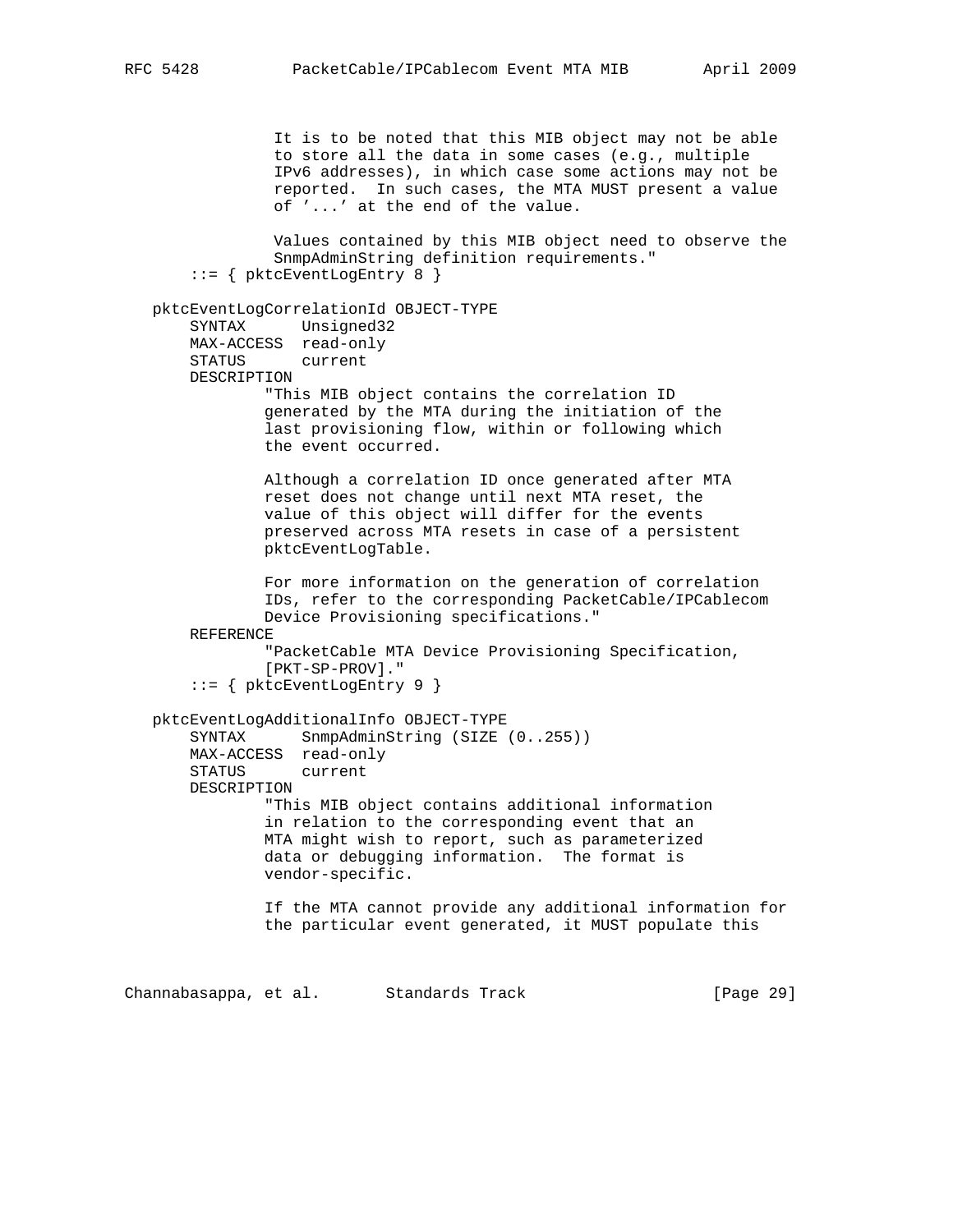It is to be noted that this MIB object may not be able to store all the data in some cases (e.g., multiple IPv6 addresses), in which case some actions may not be reported. In such cases, the MTA MUST present a value of '...' at the end of the value. Values contained by this MIB object need to observe the SnmpAdminString definition requirements." ::= { pktcEventLogEntry 8 } pktcEventLogCorrelationId OBJECT-TYPE SYNTAX Unsigned32 MAX-ACCESS read-only STATUS current DESCRIPTION "This MIB object contains the correlation ID generated by the MTA during the initiation of the last provisioning flow, within or following which the event occurred. Although a correlation ID once generated after MTA reset does not change until next MTA reset, the value of this object will differ for the events preserved across MTA resets in case of a persistent pktcEventLogTable. For more information on the generation of correlation IDs, refer to the corresponding PacketCable/IPCablecom Device Provisioning specifications." REFERENCE "PacketCable MTA Device Provisioning Specification, [PKT-SP-PROV]." ::= { pktcEventLogEntry 9 } pktcEventLogAdditionalInfo OBJECT-TYPE SYNTAX SnmpAdminString (SIZE (0..255)) MAX-ACCESS read-only STATUS current DESCRIPTION "This MIB object contains additional information in relation to the corresponding event that an MTA might wish to report, such as parameterized data or debugging information. The format is vendor-specific. If the MTA cannot provide any additional information for the particular event generated, it MUST populate this

Channabasappa, et al. Standards Track [Page 29]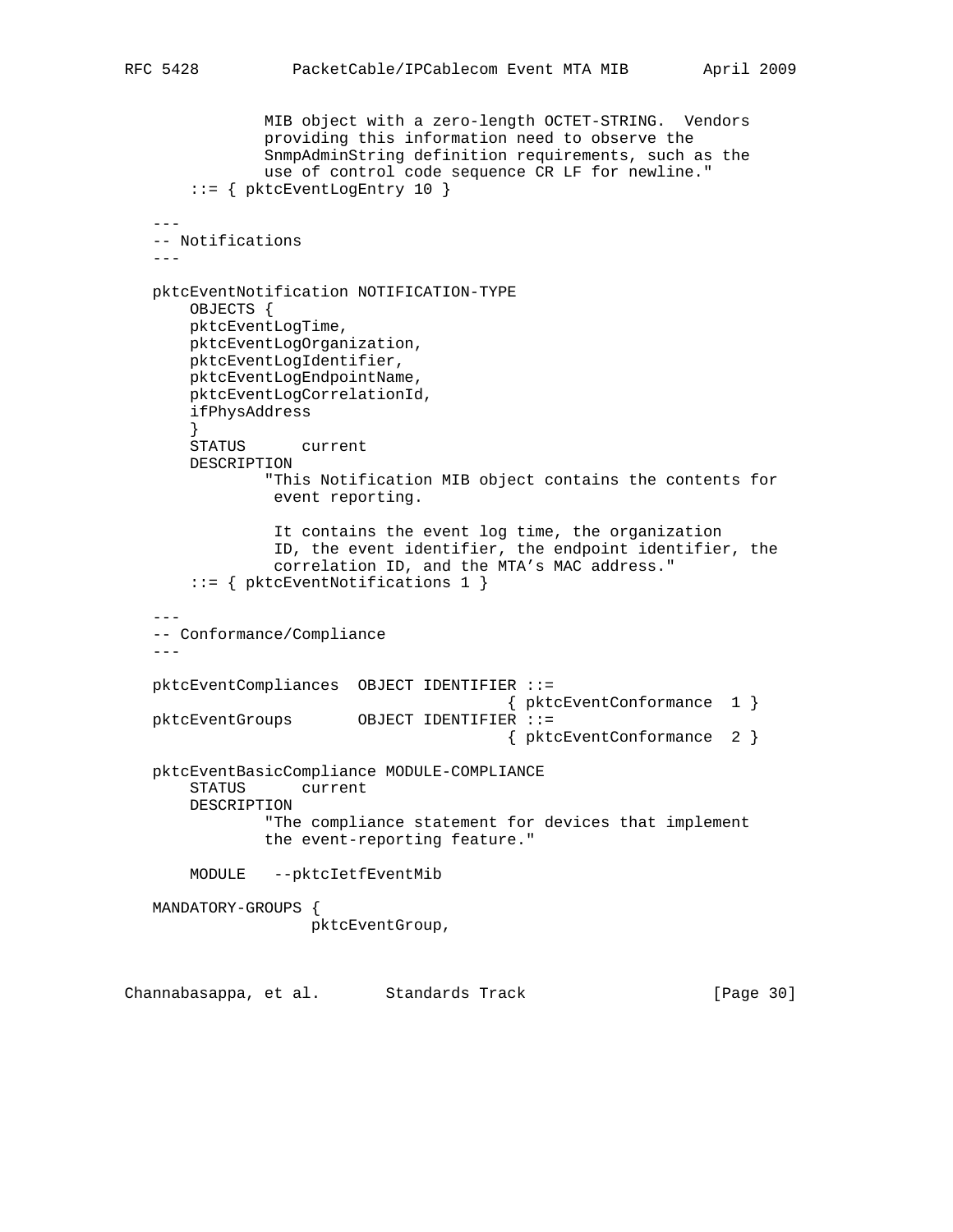```
 MIB object with a zero-length OCTET-STRING. Vendors
                providing this information need to observe the
                SnmpAdminString definition requirements, such as the
                use of control code sequence CR LF for newline."
        ::= { pktcEventLogEntry 10 }
   --- -- Notifications
    ---
   pktcEventNotification NOTIFICATION-TYPE
       OBJECTS {
       pktcEventLogTime,
       pktcEventLogOrganization,
       pktcEventLogIdentifier,
       pktcEventLogEndpointName,
       pktcEventLogCorrelationId,
       ifPhysAddress
        }
       STATUS current
       DESCRIPTION
               "This Notification MIB object contains the contents for
                event reporting.
                 It contains the event log time, the organization
                 ID, the event identifier, the endpoint identifier, the
                 correlation ID, and the MTA's MAC address."
        ::= { pktcEventNotifications 1 }
 ---
    -- Conformance/Compliance
   --- pktcEventCompliances OBJECT IDENTIFIER ::=
                                         { pktcEventConformance 1 }
   pktcEventGroups OBJECT IDENTIFIER ::=
                                          { pktcEventConformance 2 }
   pktcEventBasicCompliance MODULE-COMPLIANCE
       STATUS current
       DESCRIPTION
                "The compliance statement for devices that implement
               the event-reporting feature."
       MODULE --pktcIetfEventMib
   MANDATORY-GROUPS {
                    pktcEventGroup,
Channabasappa, et al. Standards Track [Page 30]
```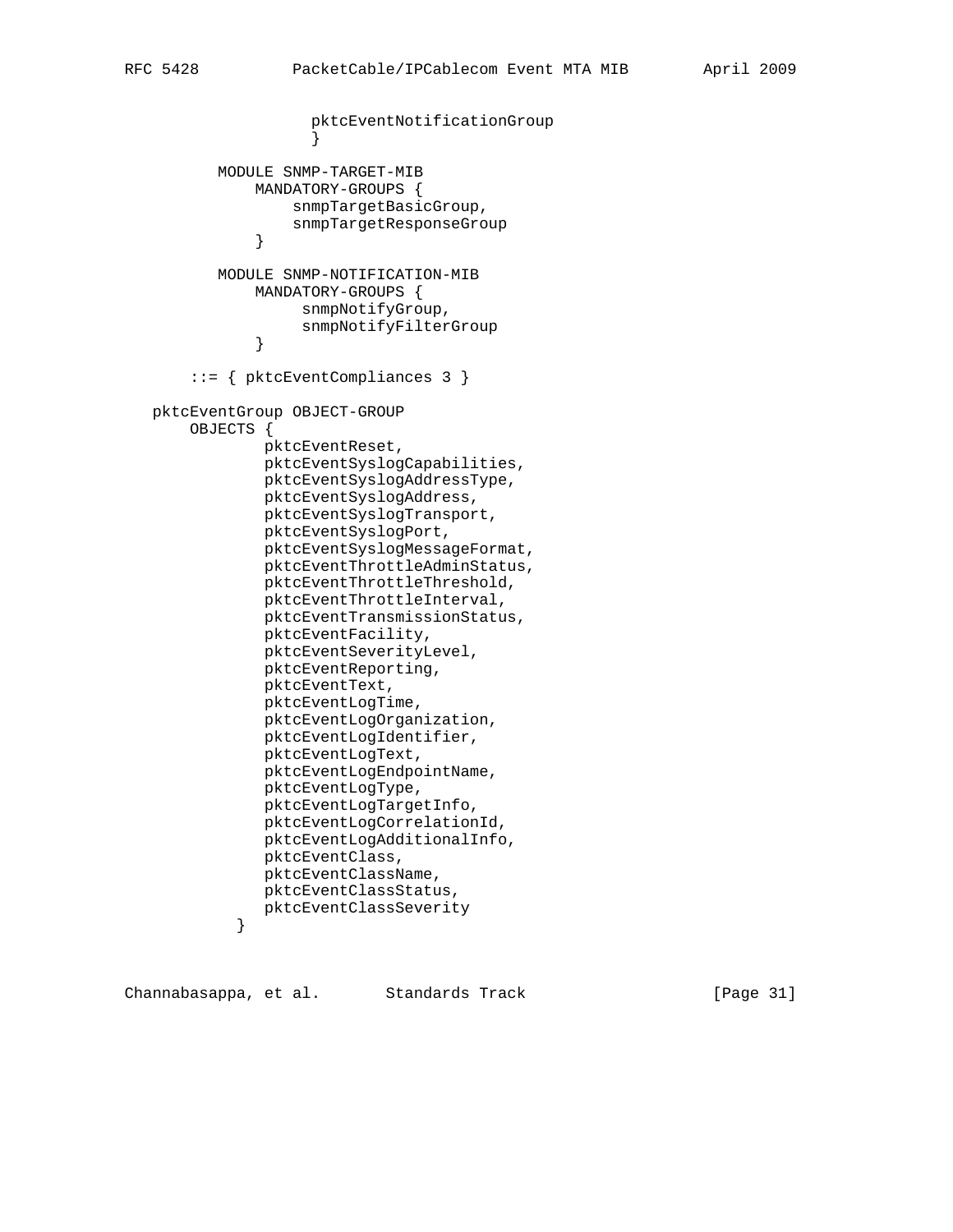```
 pktcEventNotificationGroup
 }
          MODULE SNMP-TARGET-MIB
              MANDATORY-GROUPS {
                  snmpTargetBasicGroup,
              snmpTargetResponseGroup }
 }
          MODULE SNMP-NOTIFICATION-MIB
              MANDATORY-GROUPS {
                   snmpNotifyGroup,
              snmpNotifyFilterGroup }
 }
       ::= { pktcEventCompliances 3 }
   pktcEventGroup OBJECT-GROUP
       OBJECTS {
               pktcEventReset,
               pktcEventSyslogCapabilities,
               pktcEventSyslogAddressType,
               pktcEventSyslogAddress,
               pktcEventSyslogTransport,
               pktcEventSyslogPort,
               pktcEventSyslogMessageFormat,
               pktcEventThrottleAdminStatus,
               pktcEventThrottleThreshold,
               pktcEventThrottleInterval,
               pktcEventTransmissionStatus,
               pktcEventFacility,
               pktcEventSeverityLevel,
               pktcEventReporting,
               pktcEventText,
               pktcEventLogTime,
               pktcEventLogOrganization,
               pktcEventLogIdentifier,
               pktcEventLogText,
               pktcEventLogEndpointName,
               pktcEventLogType,
               pktcEventLogTargetInfo,
               pktcEventLogCorrelationId,
               pktcEventLogAdditionalInfo,
               pktcEventClass,
               pktcEventClassName,
               pktcEventClassStatus,
            pktcEventClassSeverity<br>}
 }
```
Channabasappa, et al. Standards Track [Page 31]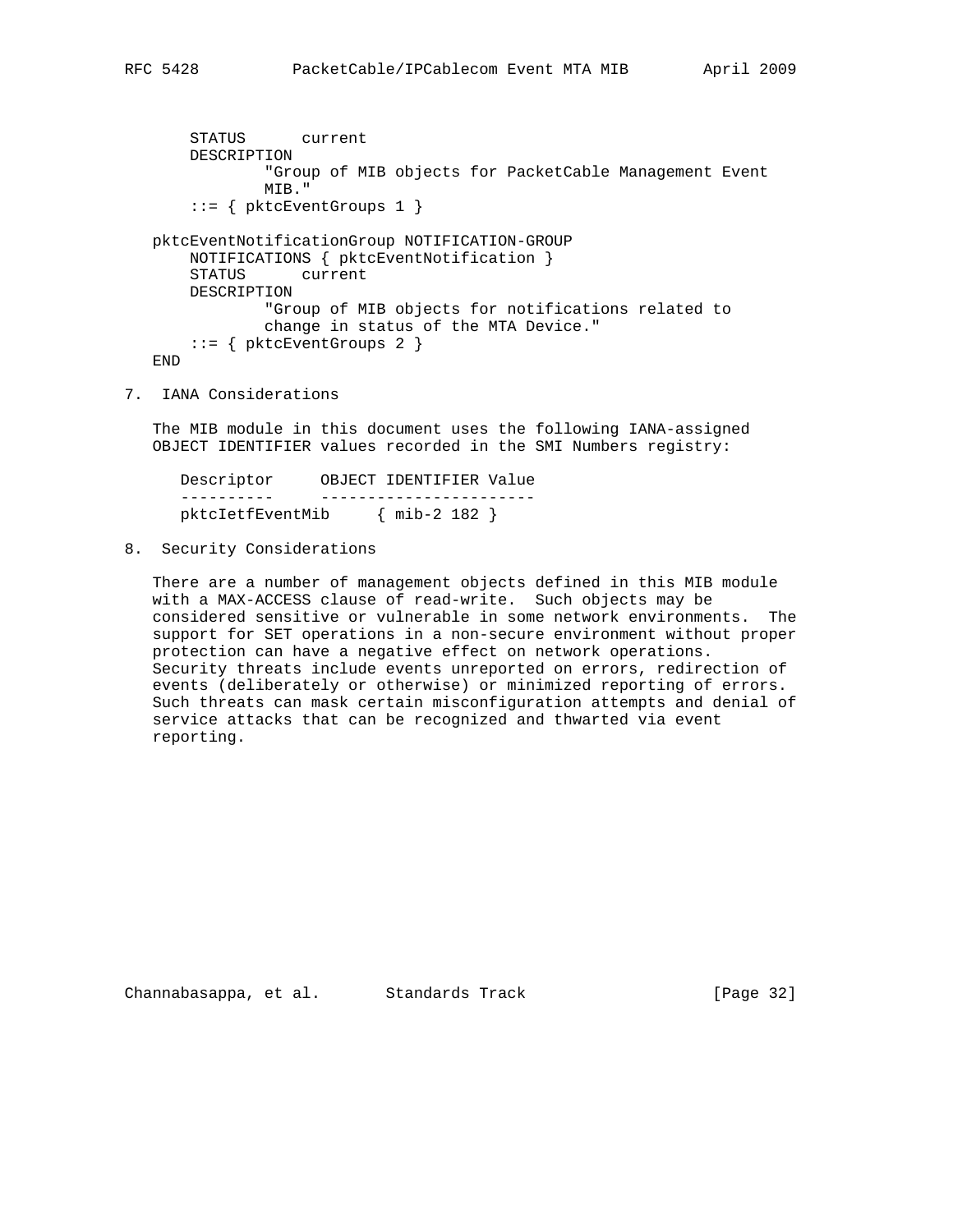```
 STATUS current
        DESCRIPTION
                "Group of MIB objects for PacketCable Management Event
                MIB."
        ::= { pktcEventGroups 1 }
   pktcEventNotificationGroup NOTIFICATION-GROUP
       NOTIFICATIONS { pktcEventNotification }
        STATUS current
       DESCRIPTION
                "Group of MIB objects for notifications related to
                change in status of the MTA Device."
       ::= \{ pktcEventGroups 2 \} END
7. IANA Considerations
```
 The MIB module in this document uses the following IANA-assigned OBJECT IDENTIFIER values recorded in the SMI Numbers registry:

 Descriptor OBJECT IDENTIFIER Value ---------- ---------------------- pktcIetfEventMib { mib-2 182 }

8. Security Considerations

 There are a number of management objects defined in this MIB module with a MAX-ACCESS clause of read-write. Such objects may be considered sensitive or vulnerable in some network environments. The support for SET operations in a non-secure environment without proper protection can have a negative effect on network operations. Security threats include events unreported on errors, redirection of events (deliberately or otherwise) or minimized reporting of errors. Such threats can mask certain misconfiguration attempts and denial of service attacks that can be recognized and thwarted via event reporting.

Channabasappa, et al. Standards Track [Page 32]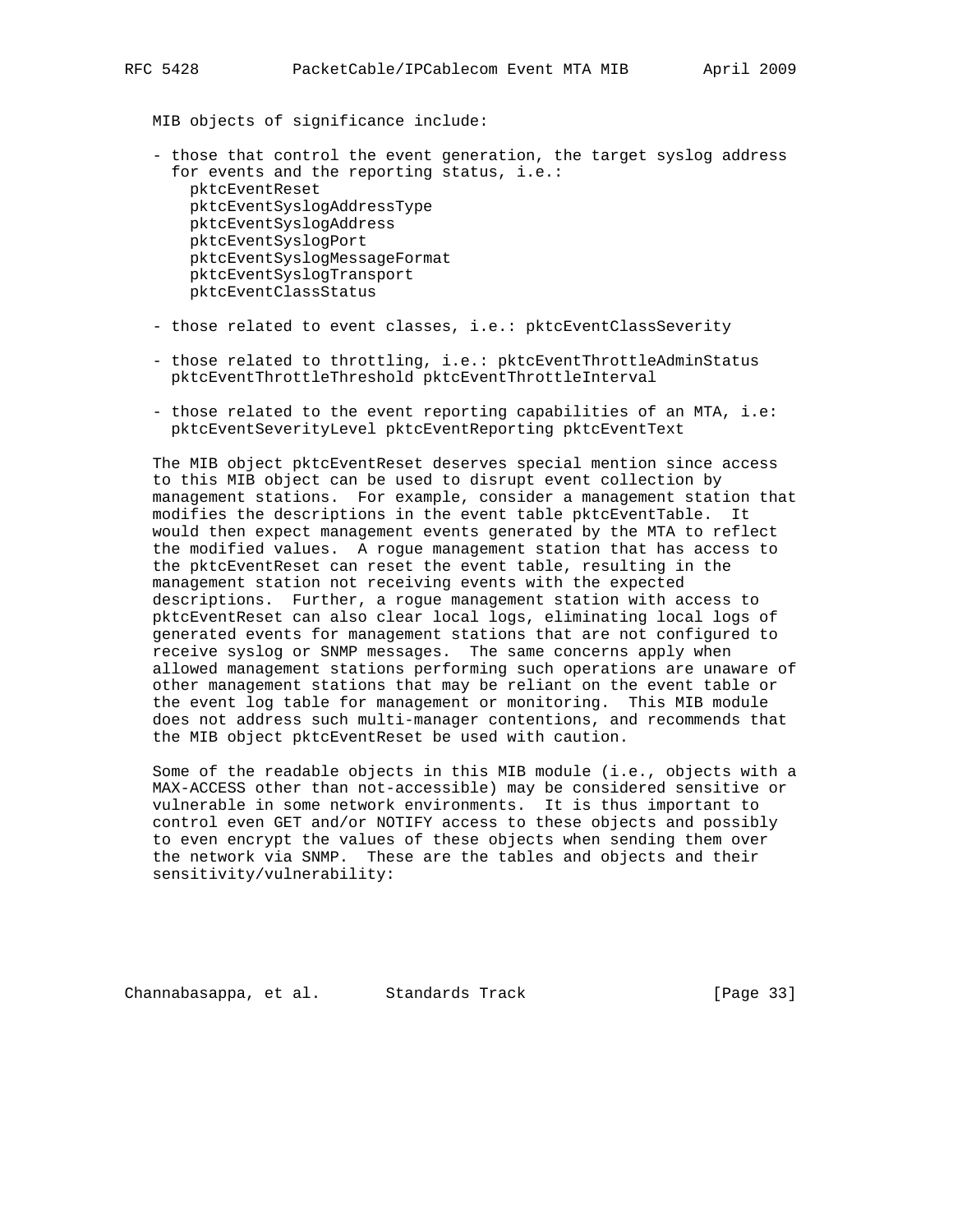MIB objects of significance include:

- those that control the event generation, the target syslog address for events and the reporting status, i.e.: pktcEventReset pktcEventSyslogAddressType pktcEventSyslogAddress pktcEventSyslogPort pktcEventSyslogMessageFormat pktcEventSyslogTransport pktcEventClassStatus
- those related to event classes, i.e.: pktcEventClassSeverity
- those related to throttling, i.e.: pktcEventThrottleAdminStatus pktcEventThrottleThreshold pktcEventThrottleInterval
- those related to the event reporting capabilities of an MTA, i.e: pktcEventSeverityLevel pktcEventReporting pktcEventText

 The MIB object pktcEventReset deserves special mention since access to this MIB object can be used to disrupt event collection by management stations. For example, consider a management station that modifies the descriptions in the event table pktcEventTable. It would then expect management events generated by the MTA to reflect the modified values. A rogue management station that has access to the pktcEventReset can reset the event table, resulting in the management station not receiving events with the expected descriptions. Further, a rogue management station with access to pktcEventReset can also clear local logs, eliminating local logs of generated events for management stations that are not configured to receive syslog or SNMP messages. The same concerns apply when allowed management stations performing such operations are unaware of other management stations that may be reliant on the event table or the event log table for management or monitoring. This MIB module does not address such multi-manager contentions, and recommends that the MIB object pktcEventReset be used with caution.

 Some of the readable objects in this MIB module (i.e., objects with a MAX-ACCESS other than not-accessible) may be considered sensitive or vulnerable in some network environments. It is thus important to control even GET and/or NOTIFY access to these objects and possibly to even encrypt the values of these objects when sending them over the network via SNMP. These are the tables and objects and their sensitivity/vulnerability:

Channabasappa, et al. Standards Track [Page 33]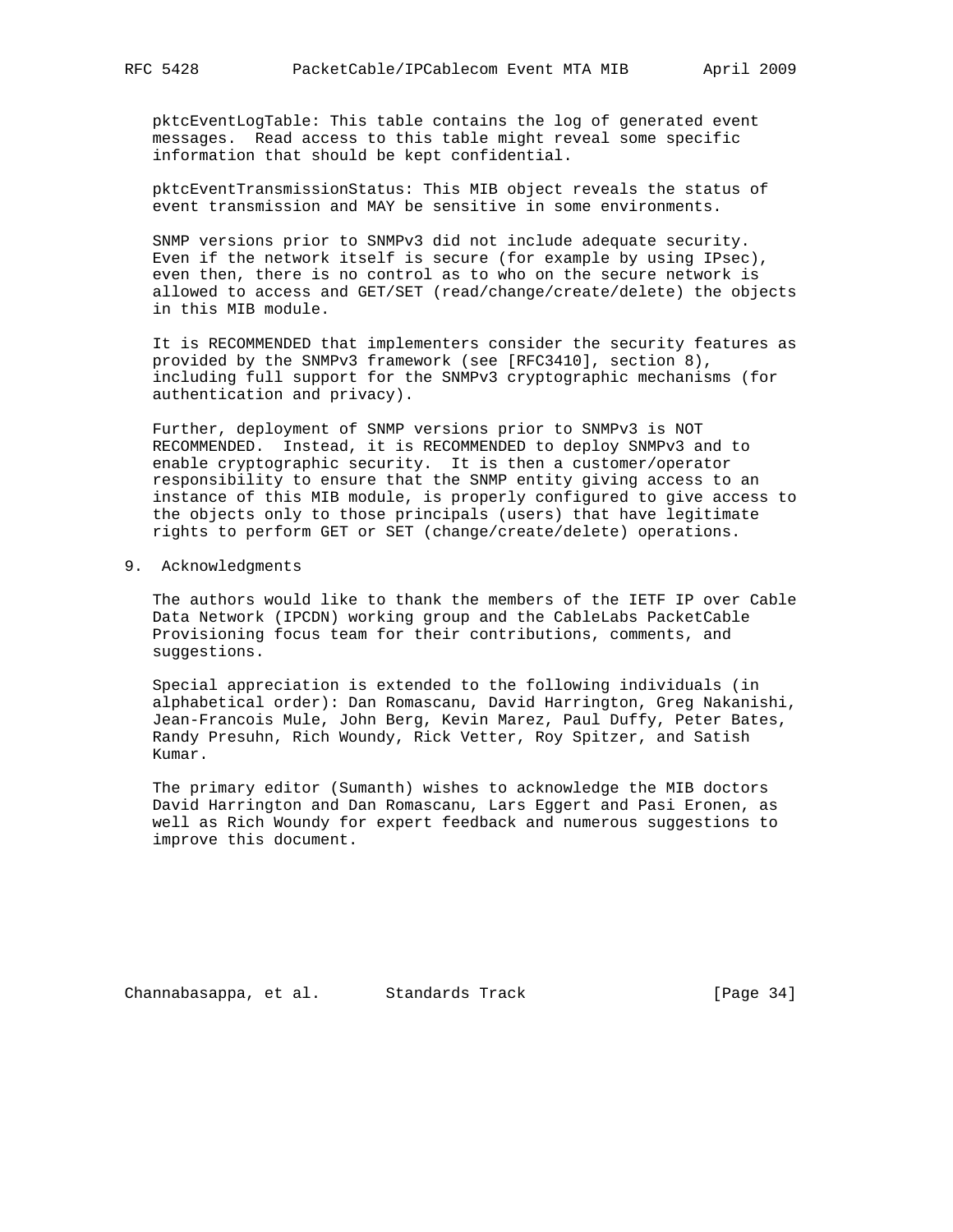pktcEventLogTable: This table contains the log of generated event messages. Read access to this table might reveal some specific information that should be kept confidential.

 pktcEventTransmissionStatus: This MIB object reveals the status of event transmission and MAY be sensitive in some environments.

 SNMP versions prior to SNMPv3 did not include adequate security. Even if the network itself is secure (for example by using IPsec), even then, there is no control as to who on the secure network is allowed to access and GET/SET (read/change/create/delete) the objects in this MIB module.

 It is RECOMMENDED that implementers consider the security features as provided by the SNMPv3 framework (see [RFC3410], section 8), including full support for the SNMPv3 cryptographic mechanisms (for authentication and privacy).

 Further, deployment of SNMP versions prior to SNMPv3 is NOT RECOMMENDED. Instead, it is RECOMMENDED to deploy SNMPv3 and to enable cryptographic security. It is then a customer/operator responsibility to ensure that the SNMP entity giving access to an instance of this MIB module, is properly configured to give access to the objects only to those principals (users) that have legitimate rights to perform GET or SET (change/create/delete) operations.

#### 9. Acknowledgments

 The authors would like to thank the members of the IETF IP over Cable Data Network (IPCDN) working group and the CableLabs PacketCable Provisioning focus team for their contributions, comments, and suggestions.

 Special appreciation is extended to the following individuals (in alphabetical order): Dan Romascanu, David Harrington, Greg Nakanishi, Jean-Francois Mule, John Berg, Kevin Marez, Paul Duffy, Peter Bates, Randy Presuhn, Rich Woundy, Rick Vetter, Roy Spitzer, and Satish Kumar.

 The primary editor (Sumanth) wishes to acknowledge the MIB doctors David Harrington and Dan Romascanu, Lars Eggert and Pasi Eronen, as well as Rich Woundy for expert feedback and numerous suggestions to improve this document.

Channabasappa, et al. Standards Track [Page 34]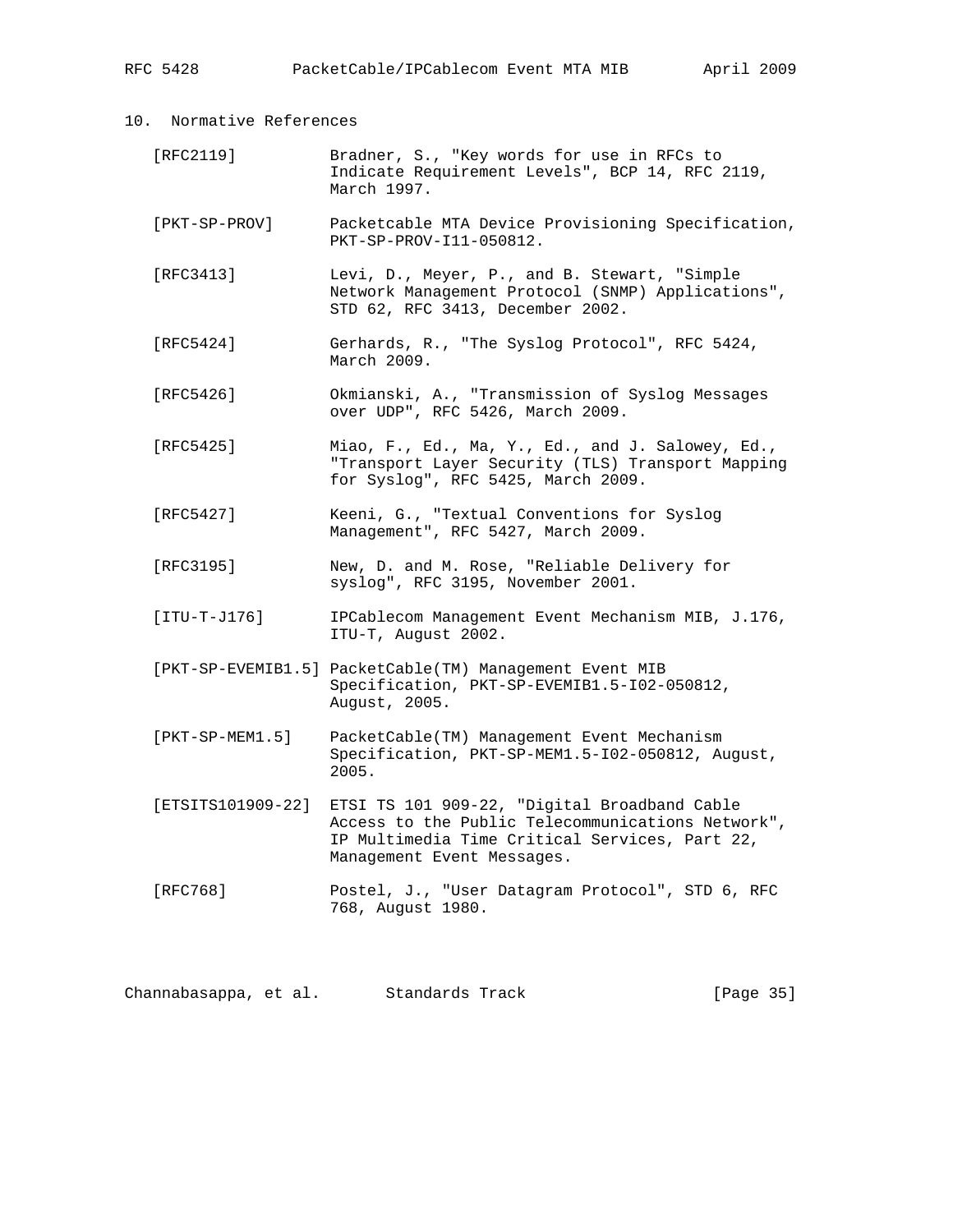| RFC 5428 | PacketCable/IPCablecom Event MTA MIB |  |  | April 2009 |  |
|----------|--------------------------------------|--|--|------------|--|
|----------|--------------------------------------|--|--|------------|--|

| Normative References<br>10. |
|-----------------------------|
|-----------------------------|

| [RFC2119] | Bradner, S., "Key words for use in RFCs to      |
|-----------|-------------------------------------------------|
|           | Indicate Requirement Levels", BCP 14, RFC 2119, |
|           | March 1997.                                     |

- [PKT-SP-PROV] Packetcable MTA Device Provisioning Specification, PKT-SP-PROV-I11-050812.
- [RFC3413] Levi, D., Meyer, P., and B. Stewart, "Simple Network Management Protocol (SNMP) Applications", STD 62, RFC 3413, December 2002.
- [RFC5424] Gerhards, R., "The Syslog Protocol", RFC 5424, March 2009.
- [RFC5426] Okmianski, A., "Transmission of Syslog Messages over UDP", RFC 5426, March 2009.
- [RFC5425] Miao, F., Ed., Ma, Y., Ed., and J. Salowey, Ed., "Transport Layer Security (TLS) Transport Mapping for Syslog", RFC 5425, March 2009.
- [RFC5427] Keeni, G., "Textual Conventions for Syslog Management", RFC 5427, March 2009.
- [RFC3195] New, D. and M. Rose, "Reliable Delivery for syslog", RFC 3195, November 2001.
- [ITU-T-J176] IPCablecom Management Event Mechanism MIB, J.176, ITU-T, August 2002.
- [PKT-SP-EVEMIB1.5] PacketCable(TM) Management Event MIB Specification, PKT-SP-EVEMIB1.5-I02-050812, August, 2005.
- [PKT-SP-MEM1.5] PacketCable(TM) Management Event Mechanism Specification, PKT-SP-MEM1.5-I02-050812, August, 2005.
- [ETSITS101909-22] ETSI TS 101 909-22, "Digital Broadband Cable Access to the Public Telecommunications Network", IP Multimedia Time Critical Services, Part 22, Management Event Messages.
- [RFC768] Postel, J., "User Datagram Protocol", STD 6, RFC 768, August 1980.

Channabasappa, et al. Standards Track [Page 35]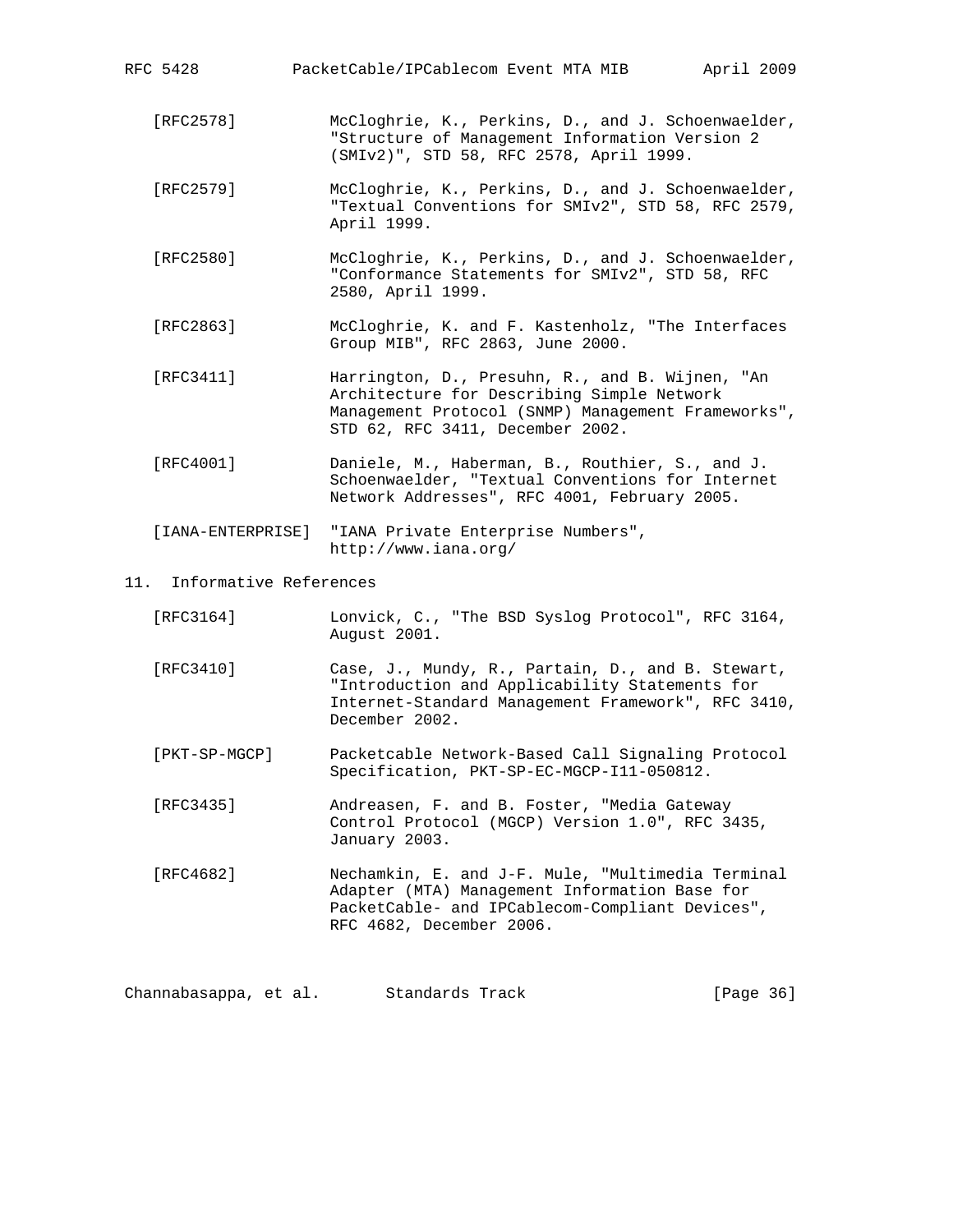| PacketCable/IPCablecom Event MTA MIB<br>RFC 5428 |  |  |  |
|--------------------------------------------------|--|--|--|
|--------------------------------------------------|--|--|--|

April 2009

- [RFC2578] McCloghrie, K., Perkins, D., and J. Schoenwaelder, "Structure of Management Information Version 2 (SMIv2)", STD 58, RFC 2578, April 1999.
- [RFC2579] McCloghrie, K., Perkins, D., and J. Schoenwaelder, "Textual Conventions for SMIv2", STD 58, RFC 2579, April 1999.
- [RFC2580] McCloghrie, K., Perkins, D., and J. Schoenwaelder, "Conformance Statements for SMIv2", STD 58, RFC 2580, April 1999.
- [RFC2863] McCloghrie, K. and F. Kastenholz, "The Interfaces Group MIB", RFC 2863, June 2000.
- [RFC3411] Harrington, D., Presuhn, R., and B. Wijnen, "An Architecture for Describing Simple Network Management Protocol (SNMP) Management Frameworks", STD 62, RFC 3411, December 2002.
- [RFC4001] Daniele, M., Haberman, B., Routhier, S., and J. Schoenwaelder, "Textual Conventions for Internet Network Addresses", RFC 4001, February 2005.

 [IANA-ENTERPRISE] "IANA Private Enterprise Numbers", http://www.iana.org/

### 11. Informative References

| [RFC3164]     | Lonvick, C., "The BSD Syslog Protocol", RFC 3164,<br>August 2001.                                                                                                                 |
|---------------|-----------------------------------------------------------------------------------------------------------------------------------------------------------------------------------|
| [RFC3410]     | Case, J., Mundy, R., Partain, D., and B. Stewart,<br>"Introduction and Applicability Statements for<br>Internet-Standard Management Framework", RFC 3410,<br>December 2002.       |
| [PKT-SP-MGCP] | Packetcable Network-Based Call Signaling Protocol<br>Specification, PKT-SP-EC-MGCP-I11-050812.                                                                                    |
| [RFC3435]     | Andreasen, F. and B. Foster, "Media Gateway<br>Control Protocol (MGCP) Version 1.0", RFC 3435,<br>January 2003.                                                                   |
| [RFC4682]     | Nechamkin, E. and J-F. Mule, "Multimedia Terminal<br>Adapter (MTA) Management Information Base for<br>PacketCable- and IPCablecom-Compliant Devices",<br>RFC 4682, December 2006. |

Channabasappa, et al. Standards Track [Page 36]